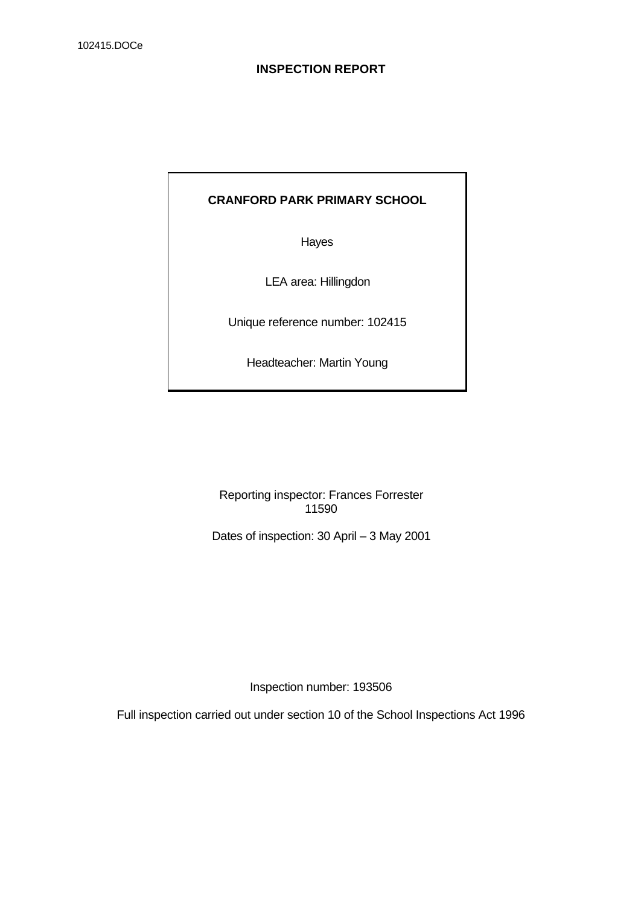# **CRANFORD PARK PRIMARY SCHOOL**

Hayes

LEA area: Hillingdon

Unique reference number: 102415

Headteacher: Martin Young

Reporting inspector: Frances Forrester 11590

Dates of inspection: 30 April – 3 May 2001

Inspection number: 193506

Full inspection carried out under section 10 of the School Inspections Act 1996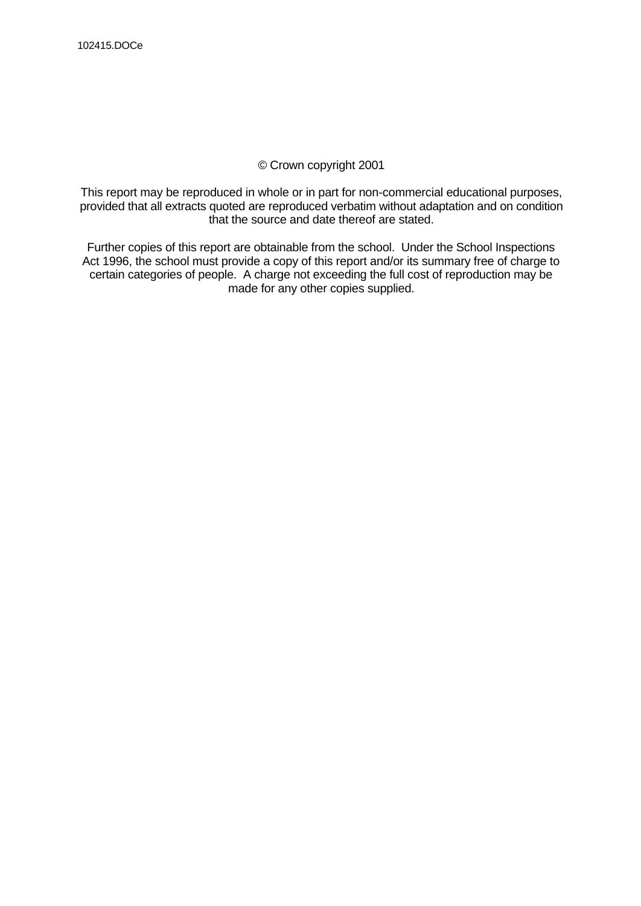# © Crown copyright 2001

This report may be reproduced in whole or in part for non-commercial educational purposes, provided that all extracts quoted are reproduced verbatim without adaptation and on condition that the source and date thereof are stated.

Further copies of this report are obtainable from the school. Under the School Inspections Act 1996, the school must provide a copy of this report and/or its summary free of charge to certain categories of people. A charge not exceeding the full cost of reproduction may be made for any other copies supplied.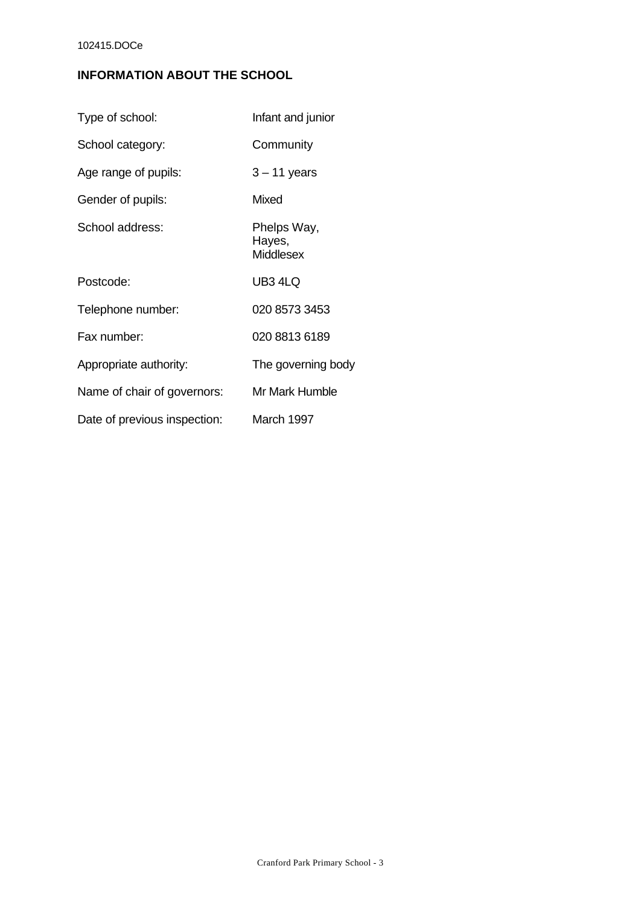# **INFORMATION ABOUT THE SCHOOL**

| Type of school:              | Infant and junior                  |
|------------------------------|------------------------------------|
| School category:             | Community                          |
| Age range of pupils:         | $3 - 11$ years                     |
| Gender of pupils:            | <b>Mixed</b>                       |
| School address:              | Phelps Way,<br>Hayes,<br>Middlesex |
| Postcode:                    | UB3 4LQ                            |
| Telephone number:            | 020 8573 3453                      |
| Fax number:                  | 020 8813 6189                      |
| Appropriate authority:       | The governing body                 |
| Name of chair of governors:  | Mr Mark Humble                     |
| Date of previous inspection: | March 1997                         |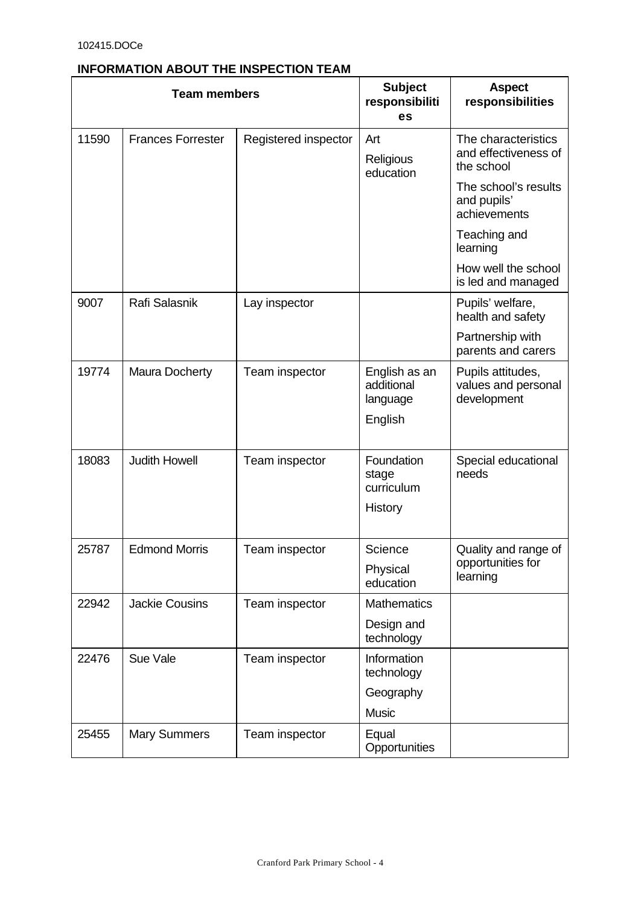# **INFORMATION ABOUT THE INSPECTION TEAM**

|       | <b>Team members</b>                              | <b>Subject</b><br>responsibiliti<br>es | <b>Aspect</b><br>responsibilities       |                                                           |
|-------|--------------------------------------------------|----------------------------------------|-----------------------------------------|-----------------------------------------------------------|
| 11590 | <b>Frances Forrester</b><br>Registered inspector |                                        | Art<br>Religious<br>education           | The characteristics<br>and effectiveness of<br>the school |
|       |                                                  |                                        |                                         | The school's results<br>and pupils'<br>achievements       |
|       |                                                  |                                        |                                         | Teaching and<br>learning                                  |
|       |                                                  |                                        |                                         | How well the school<br>is led and managed                 |
| 9007  | Rafi Salasnik                                    | Lay inspector                          |                                         | Pupils' welfare,<br>health and safety                     |
|       |                                                  |                                        |                                         | Partnership with<br>parents and carers                    |
| 19774 | <b>Maura Docherty</b>                            | Team inspector                         | English as an<br>additional<br>language | Pupils attitudes,<br>values and personal<br>development   |
|       |                                                  |                                        | English                                 |                                                           |
| 18083 | <b>Judith Howell</b>                             | Team inspector                         | Foundation<br>stage<br>curriculum       | Special educational<br>needs                              |
|       |                                                  |                                        | History                                 |                                                           |
| 25787 | <b>Edmond Morris</b>                             | Team inspector                         | Science                                 | Quality and range of                                      |
|       |                                                  |                                        | Physical<br>education                   | opportunities for<br>learning                             |
| 22942 | <b>Jackie Cousins</b>                            | Team inspector                         | <b>Mathematics</b>                      |                                                           |
|       |                                                  |                                        | Design and<br>technology                |                                                           |
| 22476 | Sue Vale                                         | Team inspector                         | Information<br>technology               |                                                           |
|       |                                                  |                                        | Geography                               |                                                           |
|       |                                                  |                                        | <b>Music</b>                            |                                                           |
| 25455 | <b>Mary Summers</b>                              | Team inspector                         | Equal<br>Opportunities                  |                                                           |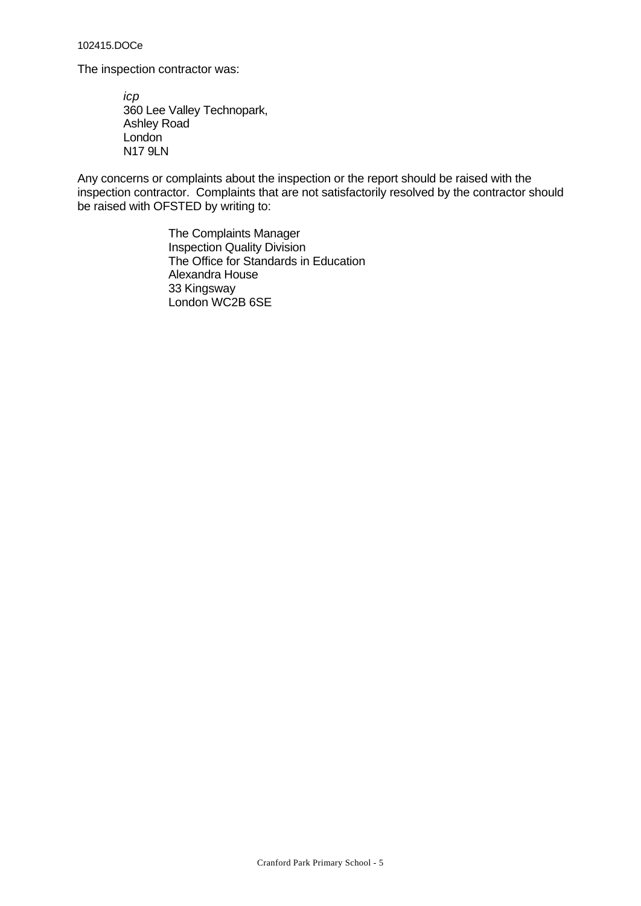The inspection contractor was:

*icp* 360 Lee Valley Technopark, Ashley Road London N17 9LN

Any concerns or complaints about the inspection or the report should be raised with the inspection contractor. Complaints that are not satisfactorily resolved by the contractor should be raised with OFSTED by writing to:

> The Complaints Manager Inspection Quality Division The Office for Standards in Education Alexandra House 33 Kingsway London WC2B 6SE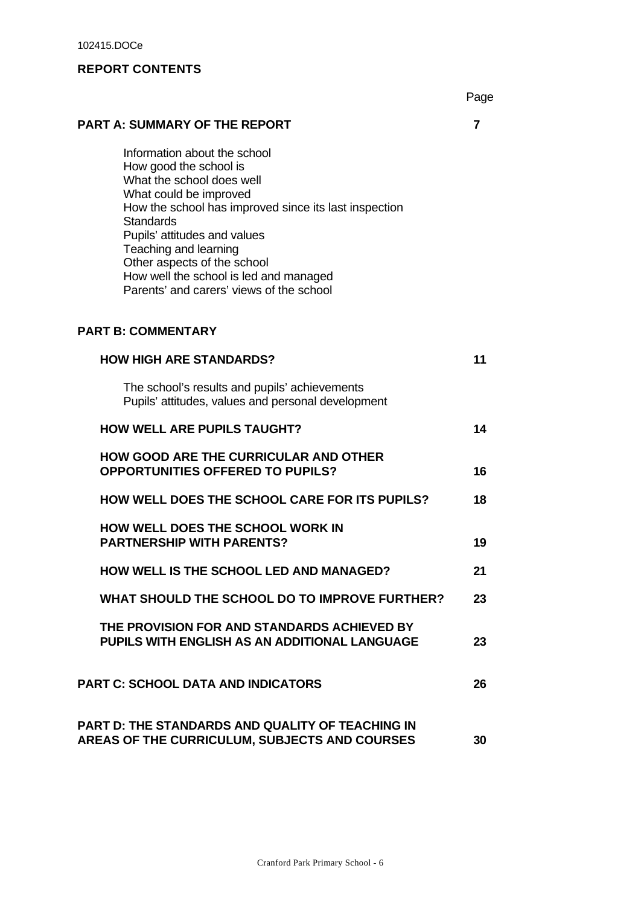# **REPORT CONTENTS**

Page

# **PART A: SUMMARY OF THE REPORT 7**

Information about the school How good the school is What the school does well What could be improved How the school has improved since its last inspection **Standards** Pupils' attitudes and values Teaching and learning Other aspects of the school How well the school is led and managed Parents' and carers' views of the school

# **PART B: COMMENTARY**

| <b>HOW HIGH ARE STANDARDS?</b>                                                                           | 11 |
|----------------------------------------------------------------------------------------------------------|----|
| The school's results and pupils' achievements<br>Pupils' attitudes, values and personal development      |    |
| <b>HOW WELL ARE PUPILS TAUGHT?</b>                                                                       | 14 |
| <b>HOW GOOD ARE THE CURRICULAR AND OTHER</b><br><b>OPPORTUNITIES OFFERED TO PUPILS?</b>                  | 16 |
| <b>HOW WELL DOES THE SCHOOL CARE FOR ITS PUPILS?</b>                                                     | 18 |
| <b>HOW WELL DOES THE SCHOOL WORK IN</b><br><b>PARTNERSHIP WITH PARENTS?</b>                              | 19 |
| <b>HOW WELL IS THE SCHOOL LED AND MANAGED?</b>                                                           | 21 |
| WHAT SHOULD THE SCHOOL DO TO IMPROVE FURTHER?                                                            | 23 |
| THE PROVISION FOR AND STANDARDS ACHIEVED BY<br>PUPILS WITH ENGLISH AS AN ADDITIONAL LANGUAGE             | 23 |
| <b>PART C: SCHOOL DATA AND INDICATORS</b>                                                                | 26 |
| PART D: THE STANDARDS AND QUALITY OF TEACHING IN<br><b>AREAS OF THE CURRICULUM, SUBJECTS AND COURSES</b> | 30 |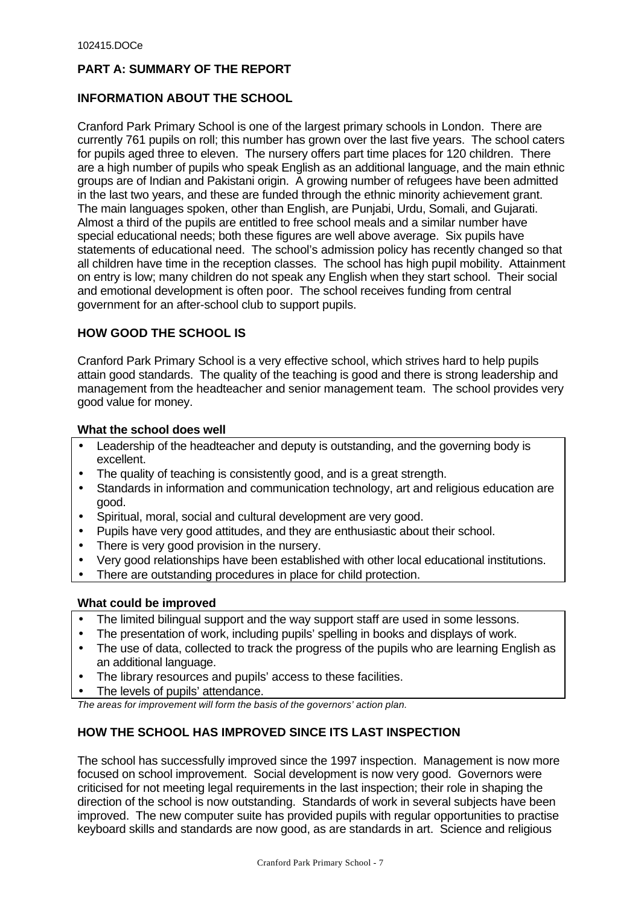# **PART A: SUMMARY OF THE REPORT**

# **INFORMATION ABOUT THE SCHOOL**

Cranford Park Primary School is one of the largest primary schools in London. There are currently 761 pupils on roll; this number has grown over the last five years. The school caters for pupils aged three to eleven. The nursery offers part time places for 120 children. There are a high number of pupils who speak English as an additional language, and the main ethnic groups are of Indian and Pakistani origin. A growing number of refugees have been admitted in the last two years, and these are funded through the ethnic minority achievement grant. The main languages spoken, other than English, are Punjabi, Urdu, Somali, and Gujarati. Almost a third of the pupils are entitled to free school meals and a similar number have special educational needs; both these figures are well above average. Six pupils have statements of educational need. The school's admission policy has recently changed so that all children have time in the reception classes. The school has high pupil mobility. Attainment on entry is low; many children do not speak any English when they start school. Their social and emotional development is often poor. The school receives funding from central government for an after-school club to support pupils.

# **HOW GOOD THE SCHOOL IS**

Cranford Park Primary School is a very effective school, which strives hard to help pupils attain good standards. The quality of the teaching is good and there is strong leadership and management from the headteacher and senior management team. The school provides very good value for money.

## **What the school does well**

- Leadership of the headteacher and deputy is outstanding, and the governing body is excellent.
- The quality of teaching is consistently good, and is a great strength.
- Standards in information and communication technology, art and religious education are good.
- Spiritual, moral, social and cultural development are very good.
- Pupils have very good attitudes, and they are enthusiastic about their school.
- There is very good provision in the nursery.
- Very good relationships have been established with other local educational institutions.
- There are outstanding procedures in place for child protection.

# **What could be improved**

- The limited bilingual support and the way support staff are used in some lessons.
- The presentation of work, including pupils' spelling in books and displays of work.
- The use of data, collected to track the progress of the pupils who are learning English as an additional language.
- The library resources and pupils' access to these facilities.
- The levels of pupils' attendance.

*The areas for improvement will form the basis of the governors' action plan.*

# **HOW THE SCHOOL HAS IMPROVED SINCE ITS LAST INSPECTION**

The school has successfully improved since the 1997 inspection. Management is now more focused on school improvement. Social development is now very good. Governors were criticised for not meeting legal requirements in the last inspection; their role in shaping the direction of the school is now outstanding. Standards of work in several subjects have been improved. The new computer suite has provided pupils with regular opportunities to practise keyboard skills and standards are now good, as are standards in art. Science and religious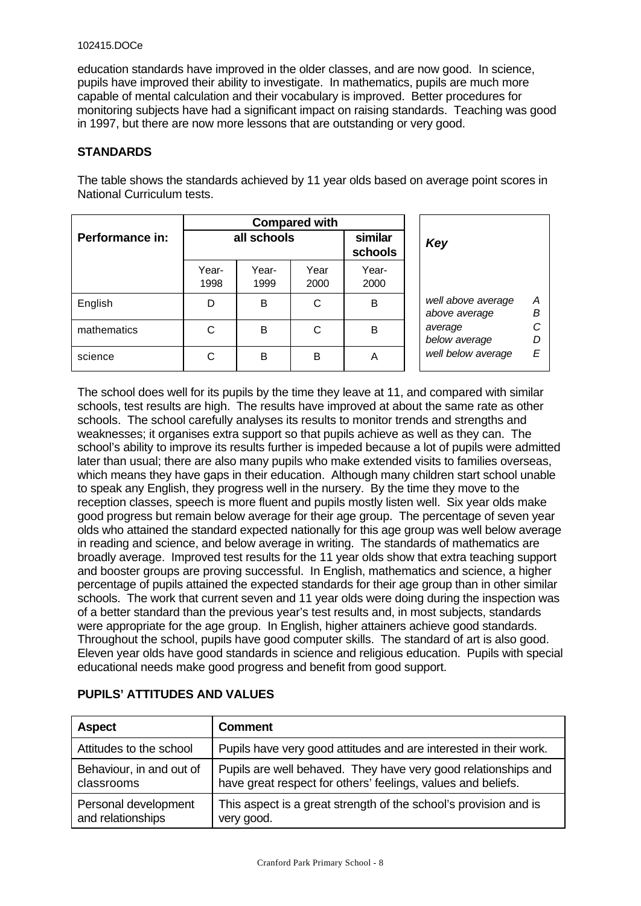education standards have improved in the older classes, and are now good. In science, pupils have improved their ability to investigate. In mathematics, pupils are much more capable of mental calculation and their vocabulary is improved. Better procedures for monitoring subjects have had a significant impact on raising standards. Teaching was good in 1997, but there are now more lessons that are outstanding or very good.

## **STANDARDS**

The table shows the standards achieved by 11 year olds based on average point scores in National Curriculum tests.

|                 | <b>Compared with</b> |               |              |                    |                                               |  |
|-----------------|----------------------|---------------|--------------|--------------------|-----------------------------------------------|--|
| Performance in: |                      | all schools   |              | similar<br>schools | Key                                           |  |
|                 | Year-<br>1998        | Year-<br>1999 | Year<br>2000 | Year-<br>2000      |                                               |  |
| English         | D                    | B             | C            | B                  | well above average<br>Α<br>Β<br>above average |  |
| mathematics     | C                    | B             | C            | B                  | average<br>D<br>below average                 |  |
| science         | С                    | B             | в            | A                  | well below average<br>E                       |  |

The school does well for its pupils by the time they leave at 11, and compared with similar schools, test results are high. The results have improved at about the same rate as other schools. The school carefully analyses its results to monitor trends and strengths and weaknesses; it organises extra support so that pupils achieve as well as they can. The school's ability to improve its results further is impeded because a lot of pupils were admitted later than usual; there are also many pupils who make extended visits to families overseas, which means they have gaps in their education. Although many children start school unable to speak any English, they progress well in the nursery. By the time they move to the reception classes, speech is more fluent and pupils mostly listen well. Six year olds make good progress but remain below average for their age group. The percentage of seven year olds who attained the standard expected nationally for this age group was well below average in reading and science, and below average in writing. The standards of mathematics are broadly average. Improved test results for the 11 year olds show that extra teaching support and booster groups are proving successful. In English, mathematics and science, a higher percentage of pupils attained the expected standards for their age group than in other similar schools. The work that current seven and 11 year olds were doing during the inspection was of a better standard than the previous year's test results and, in most subjects, standards were appropriate for the age group. In English, higher attainers achieve good standards. Throughout the school, pupils have good computer skills. The standard of art is also good. Eleven year olds have good standards in science and religious education. Pupils with special educational needs make good progress and benefit from good support.

| <b>Aspect</b>            | <b>Comment</b>                                                    |
|--------------------------|-------------------------------------------------------------------|
| Attitudes to the school  | Pupils have very good attitudes and are interested in their work. |
| Behaviour, in and out of | Pupils are well behaved. They have very good relationships and    |
| classrooms               | have great respect for others' feelings, values and beliefs.      |
| Personal development     | This aspect is a great strength of the school's provision and is  |
| and relationships        | very good.                                                        |

# **PUPILS' ATTITUDES AND VALUES**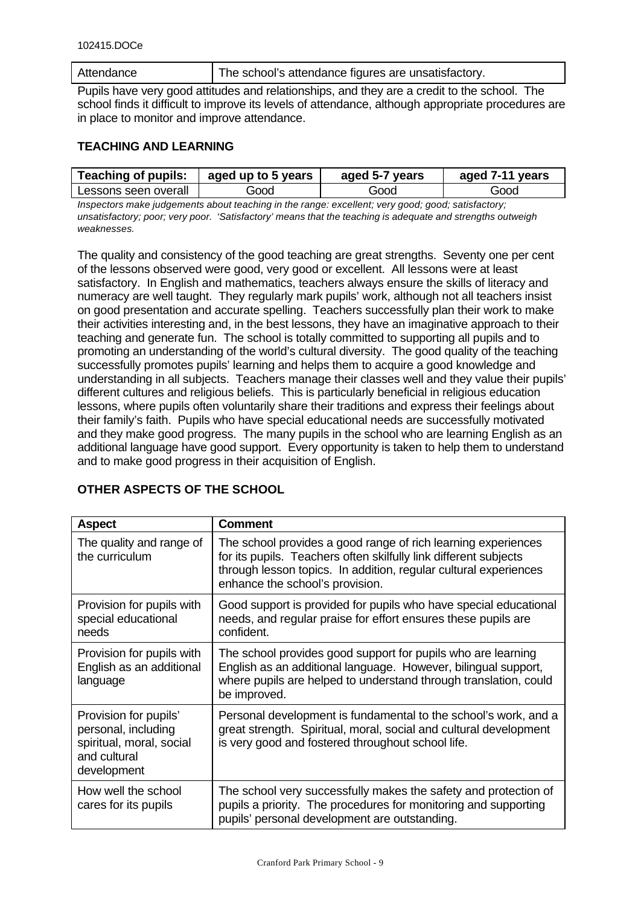| Attendance | The school's attendance figures are unsatisfactory. |
|------------|-----------------------------------------------------|
|------------|-----------------------------------------------------|

Pupils have very good attitudes and relationships, and they are a credit to the school. The school finds it difficult to improve its levels of attendance, although appropriate procedures are in place to monitor and improve attendance.

# **TEACHING AND LEARNING**

| <b>Teaching of pupils:</b><br>aged up to 5 years |      | aged 5-7 years | aged 7-11 years |  |
|--------------------------------------------------|------|----------------|-----------------|--|
| Lessons seen overall                             | Good | Good           | Good            |  |

*Inspectors make judgements about teaching in the range: excellent; very good; good; satisfactory; unsatisfactory; poor; very poor. 'Satisfactory' means that the teaching is adequate and strengths outweigh weaknesses.*

The quality and consistency of the good teaching are great strengths. Seventy one per cent of the lessons observed were good, very good or excellent. All lessons were at least satisfactory. In English and mathematics, teachers always ensure the skills of literacy and numeracy are well taught. They regularly mark pupils' work, although not all teachers insist on good presentation and accurate spelling. Teachers successfully plan their work to make their activities interesting and, in the best lessons, they have an imaginative approach to their teaching and generate fun. The school is totally committed to supporting all pupils and to promoting an understanding of the world's cultural diversity. The good quality of the teaching successfully promotes pupils' learning and helps them to acquire a good knowledge and understanding in all subjects. Teachers manage their classes well and they value their pupils' different cultures and religious beliefs. This is particularly beneficial in religious education lessons, where pupils often voluntarily share their traditions and express their feelings about their family's faith. Pupils who have special educational needs are successfully motivated and they make good progress. The many pupils in the school who are learning English as an additional language have good support. Every opportunity is taken to help them to understand and to make good progress in their acquisition of English.

| <b>Aspect</b>                                                                                           | <b>Comment</b>                                                                                                                                                                                                                           |
|---------------------------------------------------------------------------------------------------------|------------------------------------------------------------------------------------------------------------------------------------------------------------------------------------------------------------------------------------------|
| The quality and range of<br>the curriculum                                                              | The school provides a good range of rich learning experiences<br>for its pupils. Teachers often skilfully link different subjects<br>through lesson topics. In addition, regular cultural experiences<br>enhance the school's provision. |
| Provision for pupils with<br>special educational<br>needs                                               | Good support is provided for pupils who have special educational<br>needs, and regular praise for effort ensures these pupils are<br>confident.                                                                                          |
| Provision for pupils with<br>English as an additional<br>language                                       | The school provides good support for pupils who are learning<br>English as an additional language. However, bilingual support,<br>where pupils are helped to understand through translation, could<br>be improved.                       |
| Provision for pupils'<br>personal, including<br>spiritual, moral, social<br>and cultural<br>development | Personal development is fundamental to the school's work, and a<br>great strength. Spiritual, moral, social and cultural development<br>is very good and fostered throughout school life.                                                |
| How well the school<br>cares for its pupils                                                             | The school very successfully makes the safety and protection of<br>pupils a priority. The procedures for monitoring and supporting<br>pupils' personal development are outstanding.                                                      |

# **OTHER ASPECTS OF THE SCHOOL**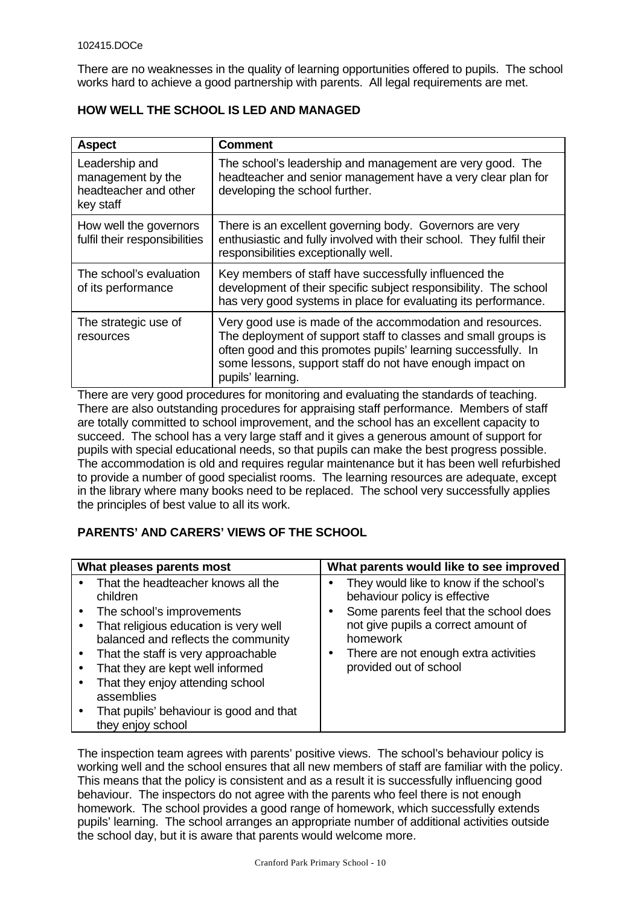There are no weaknesses in the quality of learning opportunities offered to pupils. The school works hard to achieve a good partnership with parents. All legal requirements are met.

| <b>Aspect</b>                                                             | <b>Comment</b>                                                                                                                                                                                                                                                                 |
|---------------------------------------------------------------------------|--------------------------------------------------------------------------------------------------------------------------------------------------------------------------------------------------------------------------------------------------------------------------------|
| Leadership and<br>management by the<br>headteacher and other<br>key staff | The school's leadership and management are very good. The<br>headteacher and senior management have a very clear plan for<br>developing the school further.                                                                                                                    |
| How well the governors<br>fulfil their responsibilities                   | There is an excellent governing body. Governors are very<br>enthusiastic and fully involved with their school. They fulfil their<br>responsibilities exceptionally well.                                                                                                       |
| The school's evaluation<br>of its performance                             | Key members of staff have successfully influenced the<br>development of their specific subject responsibility. The school<br>has very good systems in place for evaluating its performance.                                                                                    |
| The strategic use of<br>resources                                         | Very good use is made of the accommodation and resources.<br>The deployment of support staff to classes and small groups is<br>often good and this promotes pupils' learning successfully. In<br>some lessons, support staff do not have enough impact on<br>pupils' learning. |

# **HOW WELL THE SCHOOL IS LED AND MANAGED**

There are very good procedures for monitoring and evaluating the standards of teaching. There are also outstanding procedures for appraising staff performance. Members of staff are totally committed to school improvement, and the school has an excellent capacity to succeed. The school has a very large staff and it gives a generous amount of support for pupils with special educational needs, so that pupils can make the best progress possible. The accommodation is old and requires regular maintenance but it has been well refurbished to provide a number of good specialist rooms. The learning resources are adequate, except in the library where many books need to be replaced. The school very successfully applies the principles of best value to all its work.

# **PARENTS' AND CARERS' VIEWS OF THE SCHOOL**

| What pleases parents most                                                                                                                                                                                                                                                                                                                                | What parents would like to see improved                                                                                                                                                                                                  |  |  |
|----------------------------------------------------------------------------------------------------------------------------------------------------------------------------------------------------------------------------------------------------------------------------------------------------------------------------------------------------------|------------------------------------------------------------------------------------------------------------------------------------------------------------------------------------------------------------------------------------------|--|--|
| That the headteacher knows all the<br>children<br>The school's improvements<br>That religious education is very well<br>balanced and reflects the community<br>That the staff is very approachable<br>That they are kept well informed<br>That they enjoy attending school<br>assemblies<br>That pupils' behaviour is good and that<br>they enjoy school | They would like to know if the school's<br>behaviour policy is effective<br>Some parents feel that the school does<br>not give pupils a correct amount of<br>homework<br>There are not enough extra activities<br>provided out of school |  |  |

The inspection team agrees with parents' positive views. The school's behaviour policy is working well and the school ensures that all new members of staff are familiar with the policy. This means that the policy is consistent and as a result it is successfully influencing good behaviour. The inspectors do not agree with the parents who feel there is not enough homework. The school provides a good range of homework, which successfully extends pupils' learning. The school arranges an appropriate number of additional activities outside the school day, but it is aware that parents would welcome more.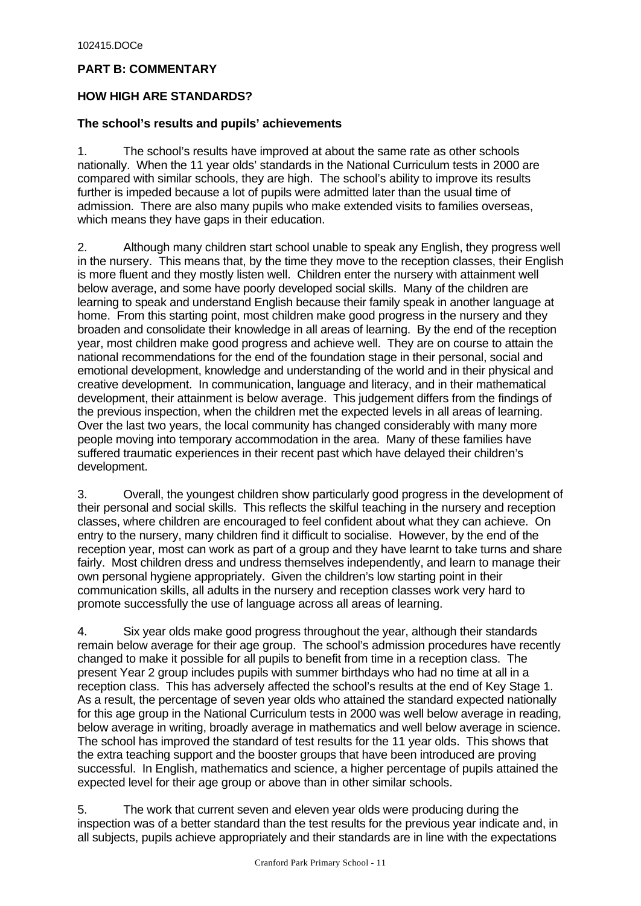# **PART B: COMMENTARY**

# **HOW HIGH ARE STANDARDS?**

## **The school's results and pupils' achievements**

1. The school's results have improved at about the same rate as other schools nationally. When the 11 year olds' standards in the National Curriculum tests in 2000 are compared with similar schools, they are high. The school's ability to improve its results further is impeded because a lot of pupils were admitted later than the usual time of admission. There are also many pupils who make extended visits to families overseas, which means they have gaps in their education.

2. Although many children start school unable to speak any English, they progress well in the nursery. This means that, by the time they move to the reception classes, their English is more fluent and they mostly listen well. Children enter the nursery with attainment well below average, and some have poorly developed social skills. Many of the children are learning to speak and understand English because their family speak in another language at home. From this starting point, most children make good progress in the nursery and they broaden and consolidate their knowledge in all areas of learning. By the end of the reception year, most children make good progress and achieve well. They are on course to attain the national recommendations for the end of the foundation stage in their personal, social and emotional development, knowledge and understanding of the world and in their physical and creative development. In communication, language and literacy, and in their mathematical development, their attainment is below average. This judgement differs from the findings of the previous inspection, when the children met the expected levels in all areas of learning. Over the last two years, the local community has changed considerably with many more people moving into temporary accommodation in the area. Many of these families have suffered traumatic experiences in their recent past which have delayed their children's development.

3. Overall, the youngest children show particularly good progress in the development of their personal and social skills. This reflects the skilful teaching in the nursery and reception classes, where children are encouraged to feel confident about what they can achieve. On entry to the nursery, many children find it difficult to socialise. However, by the end of the reception year, most can work as part of a group and they have learnt to take turns and share fairly. Most children dress and undress themselves independently, and learn to manage their own personal hygiene appropriately. Given the children's low starting point in their communication skills, all adults in the nursery and reception classes work very hard to promote successfully the use of language across all areas of learning.

4. Six year olds make good progress throughout the year, although their standards remain below average for their age group. The school's admission procedures have recently changed to make it possible for all pupils to benefit from time in a reception class. The present Year 2 group includes pupils with summer birthdays who had no time at all in a reception class. This has adversely affected the school's results at the end of Key Stage 1. As a result, the percentage of seven year olds who attained the standard expected nationally for this age group in the National Curriculum tests in 2000 was well below average in reading, below average in writing, broadly average in mathematics and well below average in science. The school has improved the standard of test results for the 11 year olds. This shows that the extra teaching support and the booster groups that have been introduced are proving successful. In English, mathematics and science, a higher percentage of pupils attained the expected level for their age group or above than in other similar schools.

5. The work that current seven and eleven year olds were producing during the inspection was of a better standard than the test results for the previous year indicate and, in all subjects, pupils achieve appropriately and their standards are in line with the expectations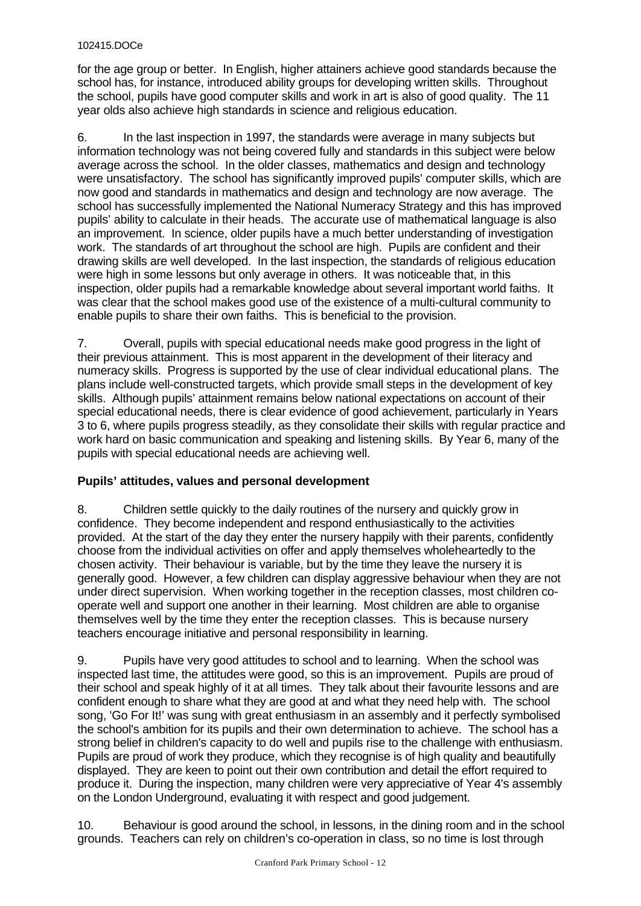for the age group or better. In English, higher attainers achieve good standards because the school has, for instance, introduced ability groups for developing written skills. Throughout the school, pupils have good computer skills and work in art is also of good quality. The 11 year olds also achieve high standards in science and religious education.

6. In the last inspection in 1997, the standards were average in many subjects but information technology was not being covered fully and standards in this subject were below average across the school. In the older classes, mathematics and design and technology were unsatisfactory. The school has significantly improved pupils' computer skills, which are now good and standards in mathematics and design and technology are now average. The school has successfully implemented the National Numeracy Strategy and this has improved pupils' ability to calculate in their heads. The accurate use of mathematical language is also an improvement. In science, older pupils have a much better understanding of investigation work. The standards of art throughout the school are high. Pupils are confident and their drawing skills are well developed. In the last inspection, the standards of religious education were high in some lessons but only average in others. It was noticeable that, in this inspection, older pupils had a remarkable knowledge about several important world faiths. It was clear that the school makes good use of the existence of a multi-cultural community to enable pupils to share their own faiths. This is beneficial to the provision.

7. Overall, pupils with special educational needs make good progress in the light of their previous attainment. This is most apparent in the development of their literacy and numeracy skills. Progress is supported by the use of clear individual educational plans. The plans include well-constructed targets, which provide small steps in the development of key skills. Although pupils' attainment remains below national expectations on account of their special educational needs, there is clear evidence of good achievement, particularly in Years 3 to 6, where pupils progress steadily, as they consolidate their skills with regular practice and work hard on basic communication and speaking and listening skills. By Year 6, many of the pupils with special educational needs are achieving well.

# **Pupils' attitudes, values and personal development**

8. Children settle quickly to the daily routines of the nursery and quickly grow in confidence. They become independent and respond enthusiastically to the activities provided. At the start of the day they enter the nursery happily with their parents, confidently choose from the individual activities on offer and apply themselves wholeheartedly to the chosen activity. Their behaviour is variable, but by the time they leave the nursery it is generally good. However, a few children can display aggressive behaviour when they are not under direct supervision. When working together in the reception classes, most children cooperate well and support one another in their learning. Most children are able to organise themselves well by the time they enter the reception classes. This is because nursery teachers encourage initiative and personal responsibility in learning.

9. Pupils have very good attitudes to school and to learning. When the school was inspected last time, the attitudes were good, so this is an improvement. Pupils are proud of their school and speak highly of it at all times. They talk about their favourite lessons and are confident enough to share what they are good at and what they need help with. The school song, 'Go For It!' was sung with great enthusiasm in an assembly and it perfectly symbolised the school's ambition for its pupils and their own determination to achieve. The school has a strong belief in children's capacity to do well and pupils rise to the challenge with enthusiasm. Pupils are proud of work they produce, which they recognise is of high quality and beautifully displayed. They are keen to point out their own contribution and detail the effort required to produce it. During the inspection, many children were very appreciative of Year 4's assembly on the London Underground, evaluating it with respect and good judgement.

10. Behaviour is good around the school, in lessons, in the dining room and in the school grounds. Teachers can rely on children's co-operation in class, so no time is lost through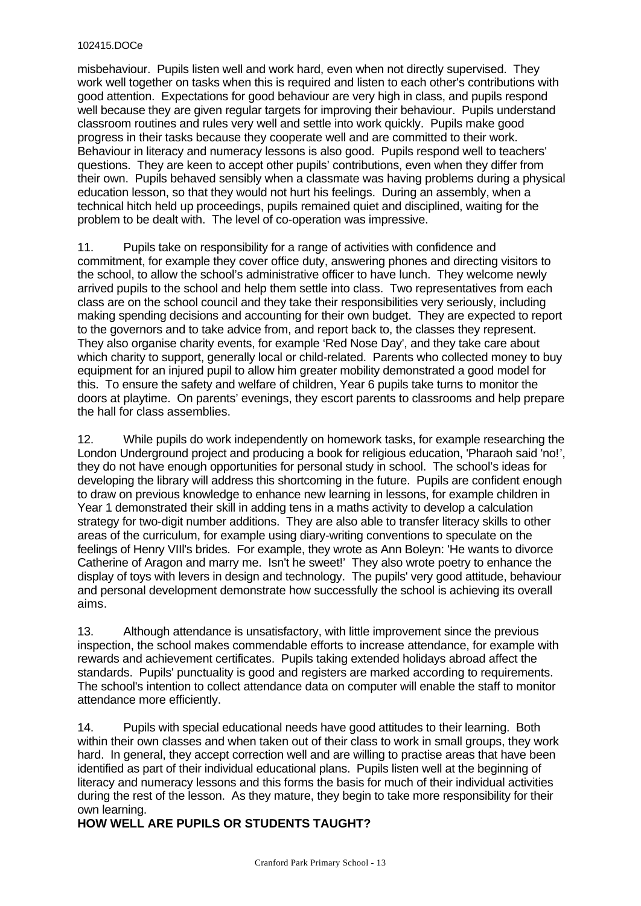misbehaviour. Pupils listen well and work hard, even when not directly supervised. They work well together on tasks when this is required and listen to each other's contributions with good attention. Expectations for good behaviour are very high in class, and pupils respond well because they are given regular targets for improving their behaviour. Pupils understand classroom routines and rules very well and settle into work quickly. Pupils make good progress in their tasks because they cooperate well and are committed to their work. Behaviour in literacy and numeracy lessons is also good. Pupils respond well to teachers' questions. They are keen to accept other pupils' contributions, even when they differ from their own. Pupils behaved sensibly when a classmate was having problems during a physical education lesson, so that they would not hurt his feelings. During an assembly, when a technical hitch held up proceedings, pupils remained quiet and disciplined, waiting for the problem to be dealt with. The level of co-operation was impressive.

11. Pupils take on responsibility for a range of activities with confidence and commitment, for example they cover office duty, answering phones and directing visitors to the school, to allow the school's administrative officer to have lunch. They welcome newly arrived pupils to the school and help them settle into class. Two representatives from each class are on the school council and they take their responsibilities very seriously, including making spending decisions and accounting for their own budget. They are expected to report to the governors and to take advice from, and report back to, the classes they represent. They also organise charity events, for example 'Red Nose Day', and they take care about which charity to support, generally local or child-related. Parents who collected money to buy equipment for an injured pupil to allow him greater mobility demonstrated a good model for this. To ensure the safety and welfare of children, Year 6 pupils take turns to monitor the doors at playtime. On parents' evenings, they escort parents to classrooms and help prepare the hall for class assemblies.

12. While pupils do work independently on homework tasks, for example researching the London Underground project and producing a book for religious education, 'Pharaoh said 'no!', they do not have enough opportunities for personal study in school. The school's ideas for developing the library will address this shortcoming in the future. Pupils are confident enough to draw on previous knowledge to enhance new learning in lessons, for example children in Year 1 demonstrated their skill in adding tens in a maths activity to develop a calculation strategy for two-digit number additions. They are also able to transfer literacy skills to other areas of the curriculum, for example using diary-writing conventions to speculate on the feelings of Henry VIIl's brides. For example, they wrote as Ann Boleyn: 'He wants to divorce Catherine of Aragon and marry me. Isn't he sweet!' They also wrote poetry to enhance the display of toys with levers in design and technology. The pupils' very good attitude, behaviour and personal development demonstrate how successfully the school is achieving its overall aims.

13. Although attendance is unsatisfactory, with little improvement since the previous inspection, the school makes commendable efforts to increase attendance, for example with rewards and achievement certificates. Pupils taking extended holidays abroad affect the standards. Pupils' punctuality is good and registers are marked according to requirements. The school's intention to collect attendance data on computer will enable the staff to monitor attendance more efficiently.

14. Pupils with special educational needs have good attitudes to their learning. Both within their own classes and when taken out of their class to work in small groups, they work hard. In general, they accept correction well and are willing to practise areas that have been identified as part of their individual educational plans. Pupils listen well at the beginning of literacy and numeracy lessons and this forms the basis for much of their individual activities during the rest of the lesson. As they mature, they begin to take more responsibility for their own learning.

# **HOW WELL ARE PUPILS OR STUDENTS TAUGHT?**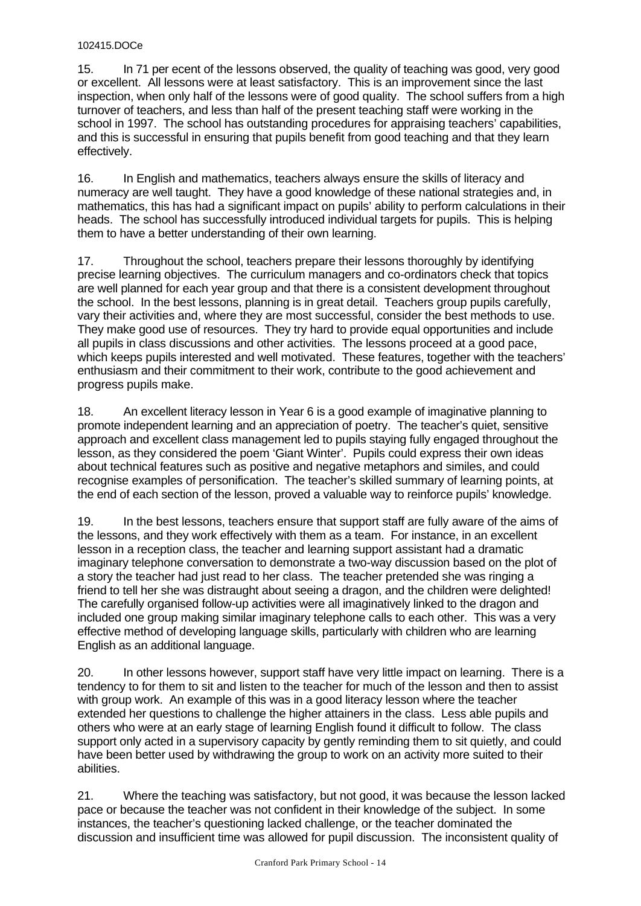15. In 71 per ecent of the lessons observed, the quality of teaching was good, very good or excellent. All lessons were at least satisfactory. This is an improvement since the last inspection, when only half of the lessons were of good quality. The school suffers from a high turnover of teachers, and less than half of the present teaching staff were working in the school in 1997. The school has outstanding procedures for appraising teachers' capabilities, and this is successful in ensuring that pupils benefit from good teaching and that they learn effectively.

16. In English and mathematics, teachers always ensure the skills of literacy and numeracy are well taught. They have a good knowledge of these national strategies and, in mathematics, this has had a significant impact on pupils' ability to perform calculations in their heads. The school has successfully introduced individual targets for pupils. This is helping them to have a better understanding of their own learning.

17. Throughout the school, teachers prepare their lessons thoroughly by identifying precise learning objectives. The curriculum managers and co-ordinators check that topics are well planned for each year group and that there is a consistent development throughout the school. In the best lessons, planning is in great detail. Teachers group pupils carefully, vary their activities and, where they are most successful, consider the best methods to use. They make good use of resources. They try hard to provide equal opportunities and include all pupils in class discussions and other activities. The lessons proceed at a good pace, which keeps pupils interested and well motivated. These features, together with the teachers' enthusiasm and their commitment to their work, contribute to the good achievement and progress pupils make.

18. An excellent literacy lesson in Year 6 is a good example of imaginative planning to promote independent learning and an appreciation of poetry. The teacher's quiet, sensitive approach and excellent class management led to pupils staying fully engaged throughout the lesson, as they considered the poem 'Giant Winter'. Pupils could express their own ideas about technical features such as positive and negative metaphors and similes, and could recognise examples of personification. The teacher's skilled summary of learning points, at the end of each section of the lesson, proved a valuable way to reinforce pupils' knowledge.

19. In the best lessons, teachers ensure that support staff are fully aware of the aims of the lessons, and they work effectively with them as a team. For instance, in an excellent lesson in a reception class, the teacher and learning support assistant had a dramatic imaginary telephone conversation to demonstrate a two-way discussion based on the plot of a story the teacher had just read to her class. The teacher pretended she was ringing a friend to tell her she was distraught about seeing a dragon, and the children were delighted! The carefully organised follow-up activities were all imaginatively linked to the dragon and included one group making similar imaginary telephone calls to each other. This was a very effective method of developing language skills, particularly with children who are learning English as an additional language.

20. In other lessons however, support staff have very little impact on learning. There is a tendency to for them to sit and listen to the teacher for much of the lesson and then to assist with group work. An example of this was in a good literacy lesson where the teacher extended her questions to challenge the higher attainers in the class. Less able pupils and others who were at an early stage of learning English found it difficult to follow. The class support only acted in a supervisory capacity by gently reminding them to sit quietly, and could have been better used by withdrawing the group to work on an activity more suited to their abilities.

21. Where the teaching was satisfactory, but not good, it was because the lesson lacked pace or because the teacher was not confident in their knowledge of the subject. In some instances, the teacher's questioning lacked challenge, or the teacher dominated the discussion and insufficient time was allowed for pupil discussion. The inconsistent quality of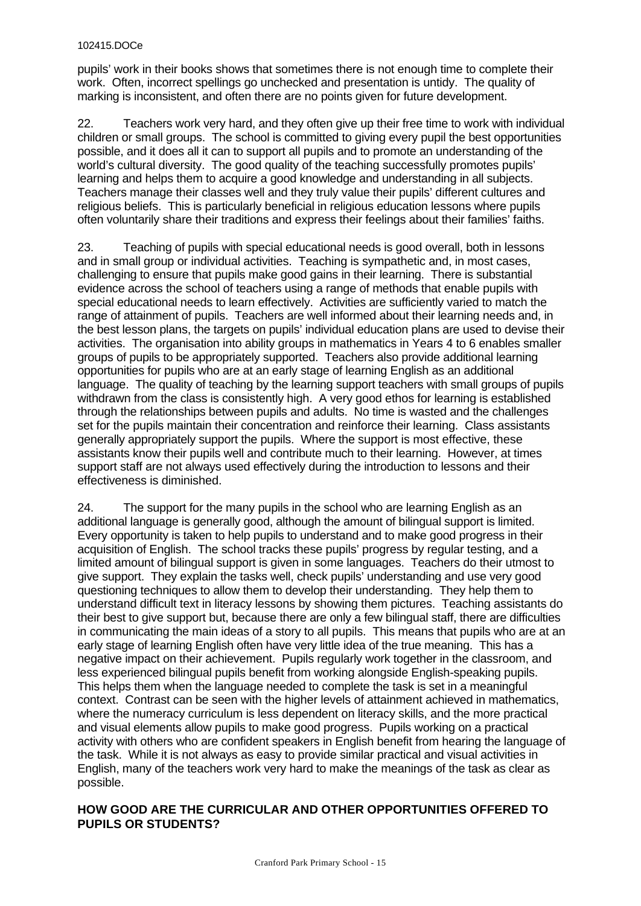pupils' work in their books shows that sometimes there is not enough time to complete their work. Often, incorrect spellings go unchecked and presentation is untidy. The quality of marking is inconsistent, and often there are no points given for future development.

22. Teachers work very hard, and they often give up their free time to work with individual children or small groups. The school is committed to giving every pupil the best opportunities possible, and it does all it can to support all pupils and to promote an understanding of the world's cultural diversity. The good quality of the teaching successfully promotes pupils' learning and helps them to acquire a good knowledge and understanding in all subjects. Teachers manage their classes well and they truly value their pupils' different cultures and religious beliefs. This is particularly beneficial in religious education lessons where pupils often voluntarily share their traditions and express their feelings about their families' faiths.

23. Teaching of pupils with special educational needs is good overall, both in lessons and in small group or individual activities. Teaching is sympathetic and, in most cases, challenging to ensure that pupils make good gains in their learning. There is substantial evidence across the school of teachers using a range of methods that enable pupils with special educational needs to learn effectively. Activities are sufficiently varied to match the range of attainment of pupils. Teachers are well informed about their learning needs and, in the best lesson plans, the targets on pupils' individual education plans are used to devise their activities. The organisation into ability groups in mathematics in Years 4 to 6 enables smaller groups of pupils to be appropriately supported. Teachers also provide additional learning opportunities for pupils who are at an early stage of learning English as an additional language. The quality of teaching by the learning support teachers with small groups of pupils withdrawn from the class is consistently high. A very good ethos for learning is established through the relationships between pupils and adults. No time is wasted and the challenges set for the pupils maintain their concentration and reinforce their learning. Class assistants generally appropriately support the pupils. Where the support is most effective, these assistants know their pupils well and contribute much to their learning. However, at times support staff are not always used effectively during the introduction to lessons and their effectiveness is diminished.

24. The support for the many pupils in the school who are learning English as an additional language is generally good, although the amount of bilingual support is limited. Every opportunity is taken to help pupils to understand and to make good progress in their acquisition of English. The school tracks these pupils' progress by regular testing, and a limited amount of bilingual support is given in some languages. Teachers do their utmost to give support. They explain the tasks well, check pupils' understanding and use very good questioning techniques to allow them to develop their understanding. They help them to understand difficult text in literacy lessons by showing them pictures. Teaching assistants do their best to give support but, because there are only a few bilingual staff, there are difficulties in communicating the main ideas of a story to all pupils. This means that pupils who are at an early stage of learning English often have very little idea of the true meaning. This has a negative impact on their achievement. Pupils regularly work together in the classroom, and less experienced bilingual pupils benefit from working alongside English-speaking pupils. This helps them when the language needed to complete the task is set in a meaningful context. Contrast can be seen with the higher levels of attainment achieved in mathematics, where the numeracy curriculum is less dependent on literacy skills, and the more practical and visual elements allow pupils to make good progress. Pupils working on a practical activity with others who are confident speakers in English benefit from hearing the language of the task. While it is not always as easy to provide similar practical and visual activities in English, many of the teachers work very hard to make the meanings of the task as clear as possible.

# **HOW GOOD ARE THE CURRICULAR AND OTHER OPPORTUNITIES OFFERED TO PUPILS OR STUDENTS?**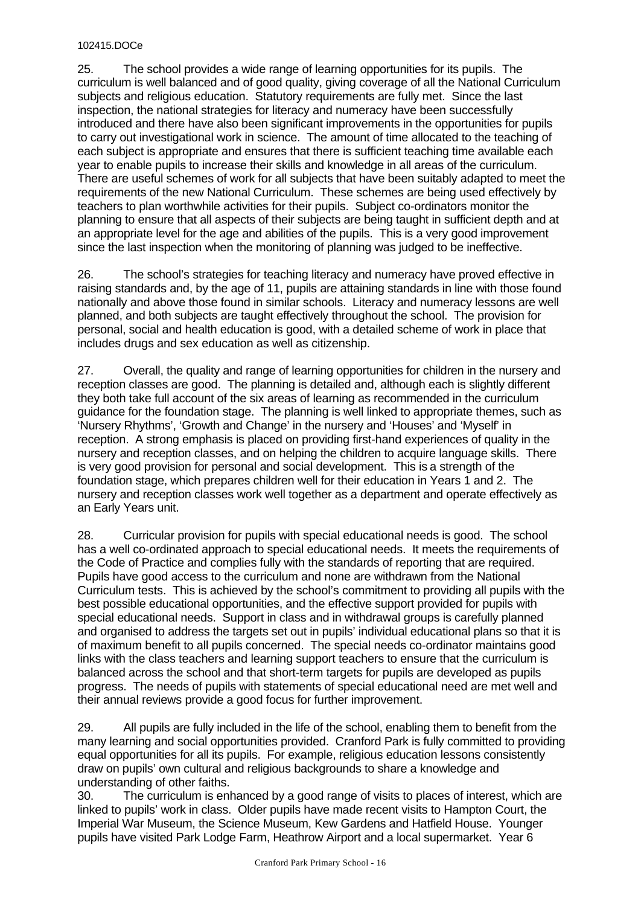25. The school provides a wide range of learning opportunities for its pupils. The curriculum is well balanced and of good quality, giving coverage of all the National Curriculum subjects and religious education. Statutory requirements are fully met. Since the last inspection, the national strategies for literacy and numeracy have been successfully introduced and there have also been significant improvements in the opportunities for pupils to carry out investigational work in science. The amount of time allocated to the teaching of each subject is appropriate and ensures that there is sufficient teaching time available each year to enable pupils to increase their skills and knowledge in all areas of the curriculum. There are useful schemes of work for all subjects that have been suitably adapted to meet the requirements of the new National Curriculum. These schemes are being used effectively by teachers to plan worthwhile activities for their pupils. Subject co-ordinators monitor the planning to ensure that all aspects of their subjects are being taught in sufficient depth and at an appropriate level for the age and abilities of the pupils. This is a very good improvement since the last inspection when the monitoring of planning was judged to be ineffective.

26. The school's strategies for teaching literacy and numeracy have proved effective in raising standards and, by the age of 11, pupils are attaining standards in line with those found nationally and above those found in similar schools. Literacy and numeracy lessons are well planned, and both subjects are taught effectively throughout the school. The provision for personal, social and health education is good, with a detailed scheme of work in place that includes drugs and sex education as well as citizenship.

27. Overall, the quality and range of learning opportunities for children in the nursery and reception classes are good. The planning is detailed and, although each is slightly different they both take full account of the six areas of learning as recommended in the curriculum guidance for the foundation stage. The planning is well linked to appropriate themes, such as 'Nursery Rhythms', 'Growth and Change' in the nursery and 'Houses' and 'Myself' in reception. A strong emphasis is placed on providing first-hand experiences of quality in the nursery and reception classes, and on helping the children to acquire language skills. There is very good provision for personal and social development. This is a strength of the foundation stage, which prepares children well for their education in Years 1 and 2. The nursery and reception classes work well together as a department and operate effectively as an Early Years unit.

28. Curricular provision for pupils with special educational needs is good. The school has a well co-ordinated approach to special educational needs. It meets the requirements of the Code of Practice and complies fully with the standards of reporting that are required. Pupils have good access to the curriculum and none are withdrawn from the National Curriculum tests. This is achieved by the school's commitment to providing all pupils with the best possible educational opportunities, and the effective support provided for pupils with special educational needs. Support in class and in withdrawal groups is carefully planned and organised to address the targets set out in pupils' individual educational plans so that it is of maximum benefit to all pupils concerned. The special needs co-ordinator maintains good links with the class teachers and learning support teachers to ensure that the curriculum is balanced across the school and that short-term targets for pupils are developed as pupils progress. The needs of pupils with statements of special educational need are met well and their annual reviews provide a good focus for further improvement.

29. All pupils are fully included in the life of the school, enabling them to benefit from the many learning and social opportunities provided. Cranford Park is fully committed to providing equal opportunities for all its pupils. For example, religious education lessons consistently draw on pupils' own cultural and religious backgrounds to share a knowledge and understanding of other faiths.

30. The curriculum is enhanced by a good range of visits to places of interest, which are linked to pupils' work in class. Older pupils have made recent visits to Hampton Court, the Imperial War Museum, the Science Museum, Kew Gardens and Hatfield House. Younger pupils have visited Park Lodge Farm, Heathrow Airport and a local supermarket. Year 6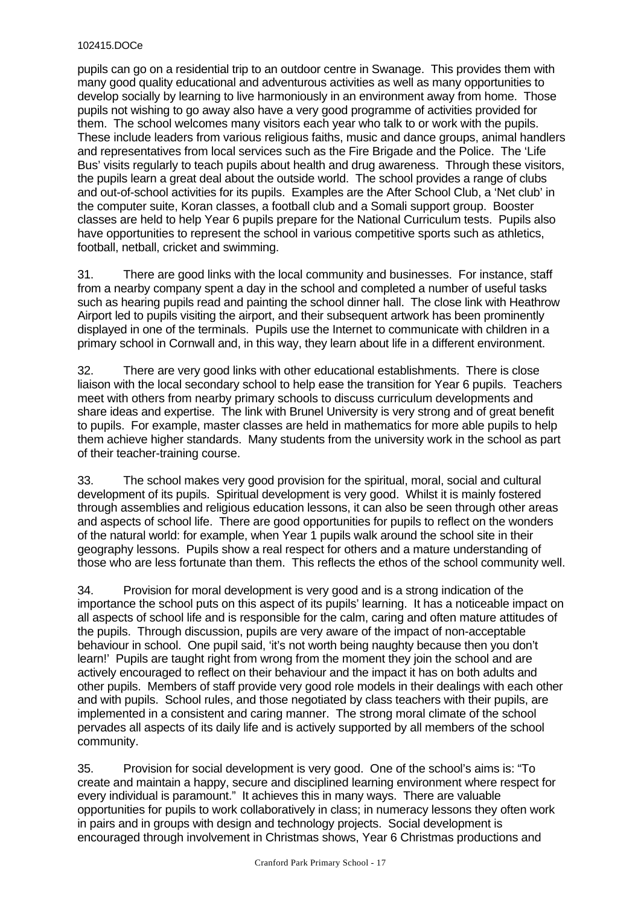pupils can go on a residential trip to an outdoor centre in Swanage. This provides them with many good quality educational and adventurous activities as well as many opportunities to develop socially by learning to live harmoniously in an environment away from home. Those pupils not wishing to go away also have a very good programme of activities provided for them. The school welcomes many visitors each year who talk to or work with the pupils. These include leaders from various religious faiths, music and dance groups, animal handlers and representatives from local services such as the Fire Brigade and the Police. The 'Life Bus' visits regularly to teach pupils about health and drug awareness. Through these visitors, the pupils learn a great deal about the outside world. The school provides a range of clubs and out-of-school activities for its pupils. Examples are the After School Club, a 'Net club' in the computer suite, Koran classes, a football club and a Somali support group. Booster classes are held to help Year 6 pupils prepare for the National Curriculum tests. Pupils also have opportunities to represent the school in various competitive sports such as athletics, football, netball, cricket and swimming.

31. There are good links with the local community and businesses. For instance, staff from a nearby company spent a day in the school and completed a number of useful tasks such as hearing pupils read and painting the school dinner hall. The close link with Heathrow Airport led to pupils visiting the airport, and their subsequent artwork has been prominently displayed in one of the terminals. Pupils use the Internet to communicate with children in a primary school in Cornwall and, in this way, they learn about life in a different environment.

32. There are very good links with other educational establishments. There is close liaison with the local secondary school to help ease the transition for Year 6 pupils. Teachers meet with others from nearby primary schools to discuss curriculum developments and share ideas and expertise. The link with Brunel University is very strong and of great benefit to pupils. For example, master classes are held in mathematics for more able pupils to help them achieve higher standards. Many students from the university work in the school as part of their teacher-training course.

33. The school makes very good provision for the spiritual, moral, social and cultural development of its pupils. Spiritual development is very good. Whilst it is mainly fostered through assemblies and religious education lessons, it can also be seen through other areas and aspects of school life. There are good opportunities for pupils to reflect on the wonders of the natural world: for example, when Year 1 pupils walk around the school site in their geography lessons. Pupils show a real respect for others and a mature understanding of those who are less fortunate than them. This reflects the ethos of the school community well.

34. Provision for moral development is very good and is a strong indication of the importance the school puts on this aspect of its pupils' learning. It has a noticeable impact on all aspects of school life and is responsible for the calm, caring and often mature attitudes of the pupils. Through discussion, pupils are very aware of the impact of non-acceptable behaviour in school. One pupil said, 'it's not worth being naughty because then you don't learn!' Pupils are taught right from wrong from the moment they join the school and are actively encouraged to reflect on their behaviour and the impact it has on both adults and other pupils. Members of staff provide very good role models in their dealings with each other and with pupils. School rules, and those negotiated by class teachers with their pupils, are implemented in a consistent and caring manner. The strong moral climate of the school pervades all aspects of its daily life and is actively supported by all members of the school community.

35. Provision for social development is very good. One of the school's aims is: "To create and maintain a happy, secure and disciplined learning environment where respect for every individual is paramount." It achieves this in many ways. There are valuable opportunities for pupils to work collaboratively in class; in numeracy lessons they often work in pairs and in groups with design and technology projects. Social development is encouraged through involvement in Christmas shows, Year 6 Christmas productions and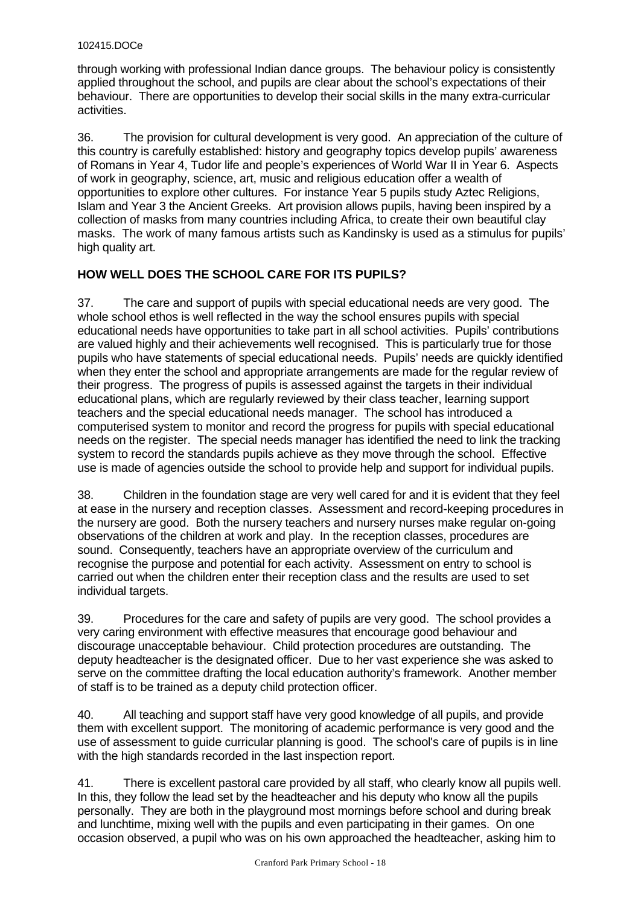through working with professional Indian dance groups. The behaviour policy is consistently applied throughout the school, and pupils are clear about the school's expectations of their behaviour. There are opportunities to develop their social skills in the many extra-curricular activities.

36. The provision for cultural development is very good. An appreciation of the culture of this country is carefully established: history and geography topics develop pupils' awareness of Romans in Year 4, Tudor life and people's experiences of World War II in Year 6. Aspects of work in geography, science, art, music and religious education offer a wealth of opportunities to explore other cultures. For instance Year 5 pupils study Aztec Religions, Islam and Year 3 the Ancient Greeks. Art provision allows pupils, having been inspired by a collection of masks from many countries including Africa, to create their own beautiful clay masks. The work of many famous artists such as Kandinsky is used as a stimulus for pupils' high quality art.

# **HOW WELL DOES THE SCHOOL CARE FOR ITS PUPILS?**

37. The care and support of pupils with special educational needs are very good. The whole school ethos is well reflected in the way the school ensures pupils with special educational needs have opportunities to take part in all school activities. Pupils' contributions are valued highly and their achievements well recognised. This is particularly true for those pupils who have statements of special educational needs. Pupils' needs are quickly identified when they enter the school and appropriate arrangements are made for the regular review of their progress. The progress of pupils is assessed against the targets in their individual educational plans, which are regularly reviewed by their class teacher, learning support teachers and the special educational needs manager. The school has introduced a computerised system to monitor and record the progress for pupils with special educational needs on the register. The special needs manager has identified the need to link the tracking system to record the standards pupils achieve as they move through the school. Effective use is made of agencies outside the school to provide help and support for individual pupils.

38. Children in the foundation stage are very well cared for and it is evident that they feel at ease in the nursery and reception classes. Assessment and record-keeping procedures in the nursery are good. Both the nursery teachers and nursery nurses make regular on-going observations of the children at work and play. In the reception classes, procedures are sound. Consequently, teachers have an appropriate overview of the curriculum and recognise the purpose and potential for each activity. Assessment on entry to school is carried out when the children enter their reception class and the results are used to set individual targets.

39. Procedures for the care and safety of pupils are very good. The school provides a very caring environment with effective measures that encourage good behaviour and discourage unacceptable behaviour. Child protection procedures are outstanding. The deputy headteacher is the designated officer. Due to her vast experience she was asked to serve on the committee drafting the local education authority's framework. Another member of staff is to be trained as a deputy child protection officer.

40. All teaching and support staff have very good knowledge of all pupils, and provide them with excellent support. The monitoring of academic performance is very good and the use of assessment to guide curricular planning is good. The school's care of pupils is in line with the high standards recorded in the last inspection report.

41. There is excellent pastoral care provided by all staff, who clearly know all pupils well. In this, they follow the lead set by the headteacher and his deputy who know all the pupils personally. They are both in the playground most mornings before school and during break and lunchtime, mixing well with the pupils and even participating in their games. On one occasion observed, a pupil who was on his own approached the headteacher, asking him to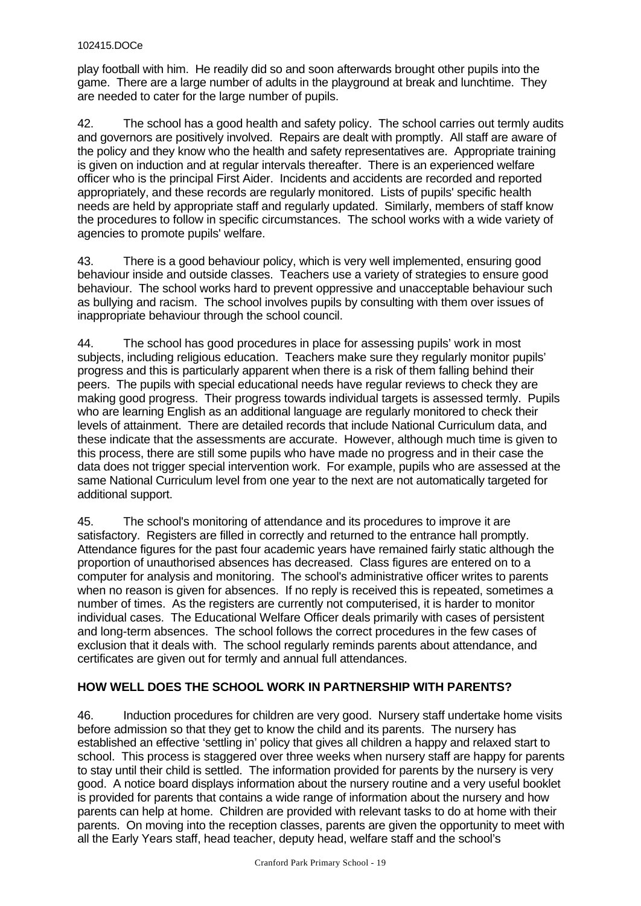play football with him. He readily did so and soon afterwards brought other pupils into the game. There are a large number of adults in the playground at break and lunchtime. They are needed to cater for the large number of pupils.

42. The school has a good health and safety policy. The school carries out termly audits and governors are positively involved. Repairs are dealt with promptly. All staff are aware of the policy and they know who the health and safety representatives are. Appropriate training is given on induction and at regular intervals thereafter. There is an experienced welfare officer who is the principal First Aider. Incidents and accidents are recorded and reported appropriately, and these records are regularly monitored. Lists of pupils' specific health needs are held by appropriate staff and regularly updated. Similarly, members of staff know the procedures to follow in specific circumstances. The school works with a wide variety of agencies to promote pupils' welfare.

43. There is a good behaviour policy, which is very well implemented, ensuring good behaviour inside and outside classes. Teachers use a variety of strategies to ensure good behaviour. The school works hard to prevent oppressive and unacceptable behaviour such as bullying and racism. The school involves pupils by consulting with them over issues of inappropriate behaviour through the school council.

44. The school has good procedures in place for assessing pupils' work in most subjects, including religious education. Teachers make sure they regularly monitor pupils' progress and this is particularly apparent when there is a risk of them falling behind their peers. The pupils with special educational needs have regular reviews to check they are making good progress. Their progress towards individual targets is assessed termly. Pupils who are learning English as an additional language are regularly monitored to check their levels of attainment. There are detailed records that include National Curriculum data, and these indicate that the assessments are accurate. However, although much time is given to this process, there are still some pupils who have made no progress and in their case the data does not trigger special intervention work. For example, pupils who are assessed at the same National Curriculum level from one year to the next are not automatically targeted for additional support.

45. The school's monitoring of attendance and its procedures to improve it are satisfactory. Registers are filled in correctly and returned to the entrance hall promptly. Attendance figures for the past four academic years have remained fairly static although the proportion of unauthorised absences has decreased. Class figures are entered on to a computer for analysis and monitoring. The school's administrative officer writes to parents when no reason is given for absences. If no reply is received this is repeated, sometimes a number of times. As the registers are currently not computerised, it is harder to monitor individual cases. The Educational Welfare Officer deals primarily with cases of persistent and long-term absences. The school follows the correct procedures in the few cases of exclusion that it deals with. The school regularly reminds parents about attendance, and certificates are given out for termly and annual full attendances.

# **HOW WELL DOES THE SCHOOL WORK IN PARTNERSHIP WITH PARENTS?**

46. Induction procedures for children are very good. Nursery staff undertake home visits before admission so that they get to know the child and its parents. The nursery has established an effective 'settling in' policy that gives all children a happy and relaxed start to school. This process is staggered over three weeks when nursery staff are happy for parents to stay until their child is settled. The information provided for parents by the nursery is very good. A notice board displays information about the nursery routine and a very useful booklet is provided for parents that contains a wide range of information about the nursery and how parents can help at home. Children are provided with relevant tasks to do at home with their parents. On moving into the reception classes, parents are given the opportunity to meet with all the Early Years staff, head teacher, deputy head, welfare staff and the school's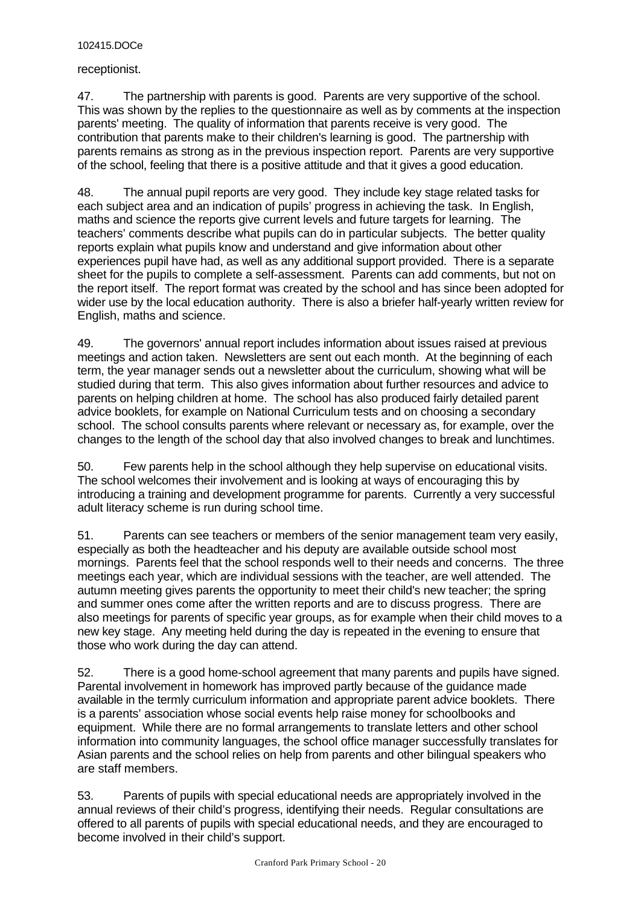receptionist.

47. The partnership with parents is good. Parents are very supportive of the school. This was shown by the replies to the questionnaire as well as by comments at the inspection parents' meeting. The quality of information that parents receive is very good. The contribution that parents make to their children's learning is good. The partnership with parents remains as strong as in the previous inspection report. Parents are very supportive of the school, feeling that there is a positive attitude and that it gives a good education.

48. The annual pupil reports are very good. They include key stage related tasks for each subject area and an indication of pupils' progress in achieving the task. In English, maths and science the reports give current levels and future targets for learning. The teachers' comments describe what pupils can do in particular subjects. The better quality reports explain what pupils know and understand and give information about other experiences pupil have had, as well as any additional support provided. There is a separate sheet for the pupils to complete a self-assessment. Parents can add comments, but not on the report itself. The report format was created by the school and has since been adopted for wider use by the local education authority. There is also a briefer half-yearly written review for English, maths and science.

49. The governors' annual report includes information about issues raised at previous meetings and action taken. Newsletters are sent out each month. At the beginning of each term, the year manager sends out a newsletter about the curriculum, showing what will be studied during that term. This also gives information about further resources and advice to parents on helping children at home. The school has also produced fairly detailed parent advice booklets, for example on National Curriculum tests and on choosing a secondary school. The school consults parents where relevant or necessary as, for example, over the changes to the length of the school day that also involved changes to break and lunchtimes.

50. Few parents help in the school although they help supervise on educational visits. The school welcomes their involvement and is looking at ways of encouraging this by introducing a training and development programme for parents. Currently a very successful adult literacy scheme is run during school time.

51. Parents can see teachers or members of the senior management team very easily, especially as both the headteacher and his deputy are available outside school most mornings. Parents feel that the school responds well to their needs and concerns. The three meetings each year, which are individual sessions with the teacher, are well attended. The autumn meeting gives parents the opportunity to meet their child's new teacher; the spring and summer ones come after the written reports and are to discuss progress. There are also meetings for parents of specific year groups, as for example when their child moves to a new key stage. Any meeting held during the day is repeated in the evening to ensure that those who work during the day can attend.

52. There is a good home-school agreement that many parents and pupils have signed. Parental involvement in homework has improved partly because of the guidance made available in the termly curriculum information and appropriate parent advice booklets. There is a parents' association whose social events help raise money for schoolbooks and equipment. While there are no formal arrangements to translate letters and other school information into community languages, the school office manager successfully translates for Asian parents and the school relies on help from parents and other bilingual speakers who are staff members.

53. Parents of pupils with special educational needs are appropriately involved in the annual reviews of their child's progress, identifying their needs. Regular consultations are offered to all parents of pupils with special educational needs, and they are encouraged to become involved in their child's support.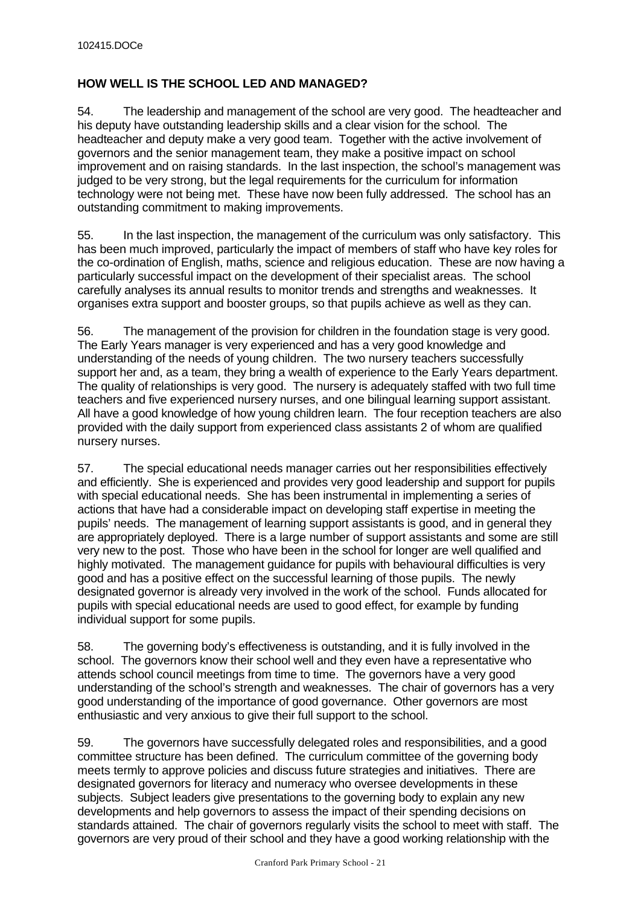# **HOW WELL IS THE SCHOOL LED AND MANAGED?**

54. The leadership and management of the school are very good. The headteacher and his deputy have outstanding leadership skills and a clear vision for the school. The headteacher and deputy make a very good team. Together with the active involvement of governors and the senior management team, they make a positive impact on school improvement and on raising standards. In the last inspection, the school's management was judged to be very strong, but the legal requirements for the curriculum for information technology were not being met. These have now been fully addressed. The school has an outstanding commitment to making improvements.

55. In the last inspection, the management of the curriculum was only satisfactory. This has been much improved, particularly the impact of members of staff who have key roles for the co-ordination of English, maths, science and religious education. These are now having a particularly successful impact on the development of their specialist areas. The school carefully analyses its annual results to monitor trends and strengths and weaknesses. It organises extra support and booster groups, so that pupils achieve as well as they can.

56. The management of the provision for children in the foundation stage is very good. The Early Years manager is very experienced and has a very good knowledge and understanding of the needs of young children. The two nursery teachers successfully support her and, as a team, they bring a wealth of experience to the Early Years department. The quality of relationships is very good. The nursery is adequately staffed with two full time teachers and five experienced nursery nurses, and one bilingual learning support assistant. All have a good knowledge of how young children learn. The four reception teachers are also provided with the daily support from experienced class assistants 2 of whom are qualified nursery nurses.

57. The special educational needs manager carries out her responsibilities effectively and efficiently. She is experienced and provides very good leadership and support for pupils with special educational needs. She has been instrumental in implementing a series of actions that have had a considerable impact on developing staff expertise in meeting the pupils' needs. The management of learning support assistants is good, and in general they are appropriately deployed. There is a large number of support assistants and some are still very new to the post. Those who have been in the school for longer are well qualified and highly motivated. The management guidance for pupils with behavioural difficulties is very good and has a positive effect on the successful learning of those pupils. The newly designated governor is already very involved in the work of the school. Funds allocated for pupils with special educational needs are used to good effect, for example by funding individual support for some pupils.

58. The governing body's effectiveness is outstanding, and it is fully involved in the school. The governors know their school well and they even have a representative who attends school council meetings from time to time. The governors have a very good understanding of the school's strength and weaknesses. The chair of governors has a very good understanding of the importance of good governance. Other governors are most enthusiastic and very anxious to give their full support to the school.

59. The governors have successfully delegated roles and responsibilities, and a good committee structure has been defined. The curriculum committee of the governing body meets termly to approve policies and discuss future strategies and initiatives. There are designated governors for literacy and numeracy who oversee developments in these subjects. Subject leaders give presentations to the governing body to explain any new developments and help governors to assess the impact of their spending decisions on standards attained. The chair of governors regularly visits the school to meet with staff. The governors are very proud of their school and they have a good working relationship with the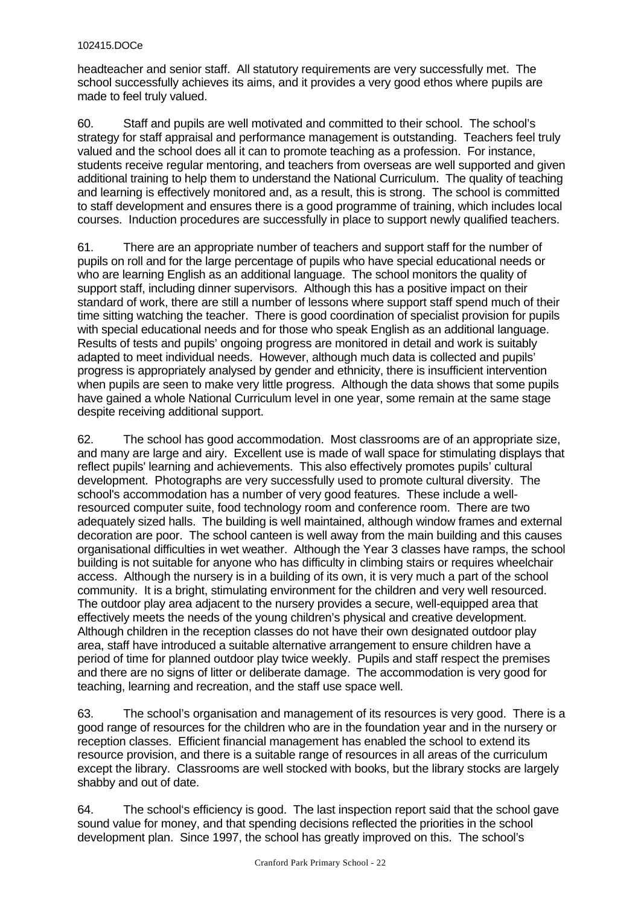headteacher and senior staff. All statutory requirements are very successfully met. The school successfully achieves its aims, and it provides a very good ethos where pupils are made to feel truly valued.

60. Staff and pupils are well motivated and committed to their school. The school's strategy for staff appraisal and performance management is outstanding. Teachers feel truly valued and the school does all it can to promote teaching as a profession. For instance, students receive regular mentoring, and teachers from overseas are well supported and given additional training to help them to understand the National Curriculum. The quality of teaching and learning is effectively monitored and, as a result, this is strong. The school is committed to staff development and ensures there is a good programme of training, which includes local courses. Induction procedures are successfully in place to support newly qualified teachers.

61. There are an appropriate number of teachers and support staff for the number of pupils on roll and for the large percentage of pupils who have special educational needs or who are learning English as an additional language. The school monitors the quality of support staff, including dinner supervisors. Although this has a positive impact on their standard of work, there are still a number of lessons where support staff spend much of their time sitting watching the teacher. There is good coordination of specialist provision for pupils with special educational needs and for those who speak English as an additional language. Results of tests and pupils' ongoing progress are monitored in detail and work is suitably adapted to meet individual needs. However, although much data is collected and pupils' progress is appropriately analysed by gender and ethnicity, there is insufficient intervention when pupils are seen to make very little progress. Although the data shows that some pupils have gained a whole National Curriculum level in one year, some remain at the same stage despite receiving additional support.

62. The school has good accommodation. Most classrooms are of an appropriate size, and many are large and airy. Excellent use is made of wall space for stimulating displays that reflect pupils' learning and achievements. This also effectively promotes pupils' cultural development. Photographs are very successfully used to promote cultural diversity. The school's accommodation has a number of very good features. These include a wellresourced computer suite, food technology room and conference room. There are two adequately sized halls. The building is well maintained, although window frames and external decoration are poor. The school canteen is well away from the main building and this causes organisational difficulties in wet weather. Although the Year 3 classes have ramps, the school building is not suitable for anyone who has difficulty in climbing stairs or requires wheelchair access. Although the nursery is in a building of its own, it is very much a part of the school community. It is a bright, stimulating environment for the children and very well resourced. The outdoor play area adjacent to the nursery provides a secure, well-equipped area that effectively meets the needs of the young children's physical and creative development. Although children in the reception classes do not have their own designated outdoor play area, staff have introduced a suitable alternative arrangement to ensure children have a period of time for planned outdoor play twice weekly. Pupils and staff respect the premises and there are no signs of litter or deliberate damage. The accommodation is very good for teaching, learning and recreation, and the staff use space well.

63. The school's organisation and management of its resources is very good. There is a good range of resources for the children who are in the foundation year and in the nursery or reception classes. Efficient financial management has enabled the school to extend its resource provision, and there is a suitable range of resources in all areas of the curriculum except the library. Classrooms are well stocked with books, but the library stocks are largely shabby and out of date.

64. The school's efficiency is good. The last inspection report said that the school gave sound value for money, and that spending decisions reflected the priorities in the school development plan. Since 1997, the school has greatly improved on this. The school's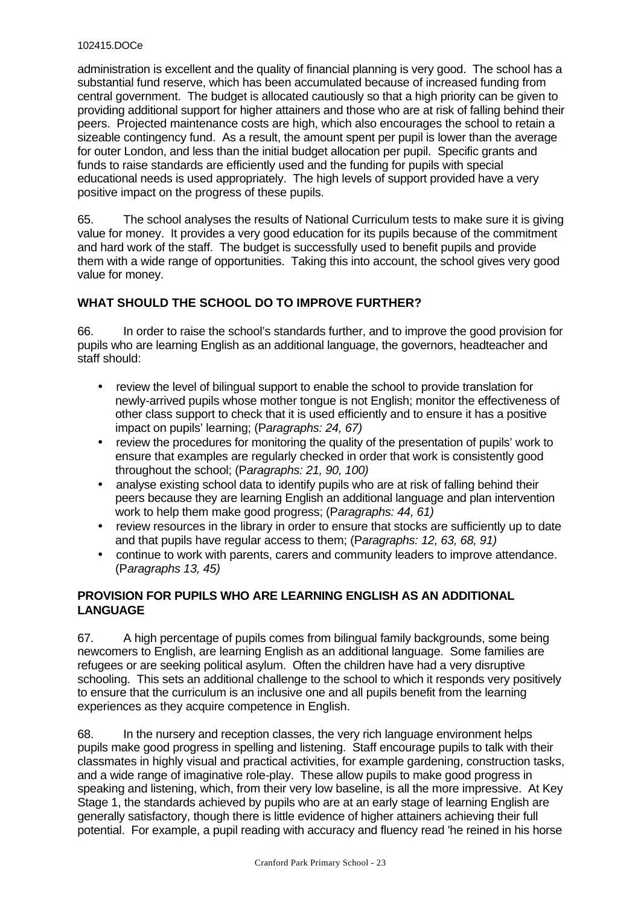administration is excellent and the quality of financial planning is very good. The school has a substantial fund reserve, which has been accumulated because of increased funding from central government. The budget is allocated cautiously so that a high priority can be given to providing additional support for higher attainers and those who are at risk of falling behind their peers. Projected maintenance costs are high, which also encourages the school to retain a sizeable contingency fund. As a result, the amount spent per pupil is lower than the average for outer London, and less than the initial budget allocation per pupil. Specific grants and funds to raise standards are efficiently used and the funding for pupils with special educational needs is used appropriately. The high levels of support provided have a very positive impact on the progress of these pupils.

65. The school analyses the results of National Curriculum tests to make sure it is giving value for money. It provides a very good education for its pupils because of the commitment and hard work of the staff. The budget is successfully used to benefit pupils and provide them with a wide range of opportunities. Taking this into account, the school gives very good value for money.

# **WHAT SHOULD THE SCHOOL DO TO IMPROVE FURTHER?**

66. In order to raise the school's standards further, and to improve the good provision for pupils who are learning English as an additional language, the governors, headteacher and staff should:

- review the level of bilingual support to enable the school to provide translation for newly-arrived pupils whose mother tongue is not English; monitor the effectiveness of other class support to check that it is used efficiently and to ensure it has a positive impact on pupils' learning; (P*aragraphs: 24, 67)*
- review the procedures for monitoring the quality of the presentation of pupils' work to ensure that examples are regularly checked in order that work is consistently good throughout the school; (P*aragraphs: 21, 90, 100)*
- analyse existing school data to identify pupils who are at risk of falling behind their peers because they are learning English an additional language and plan intervention work to help them make good progress; (P*aragraphs: 44, 61)*
- review resources in the library in order to ensure that stocks are sufficiently up to date and that pupils have regular access to them; (P*aragraphs: 12, 63, 68, 91)*
- continue to work with parents, carers and community leaders to improve attendance. (P*aragraphs 13, 45)*

# **PROVISION FOR PUPILS WHO ARE LEARNING ENGLISH AS AN ADDITIONAL LANGUAGE**

67. A high percentage of pupils comes from bilingual family backgrounds, some being newcomers to English, are learning English as an additional language. Some families are refugees or are seeking political asylum. Often the children have had a very disruptive schooling. This sets an additional challenge to the school to which it responds very positively to ensure that the curriculum is an inclusive one and all pupils benefit from the learning experiences as they acquire competence in English.

68. In the nursery and reception classes, the very rich language environment helps pupils make good progress in spelling and listening. Staff encourage pupils to talk with their classmates in highly visual and practical activities, for example gardening, construction tasks, and a wide range of imaginative role-play. These allow pupils to make good progress in speaking and listening, which, from their very low baseline, is all the more impressive. At Key Stage 1, the standards achieved by pupils who are at an early stage of learning English are generally satisfactory, though there is little evidence of higher attainers achieving their full potential. For example, a pupil reading with accuracy and fluency read 'he reined in his horse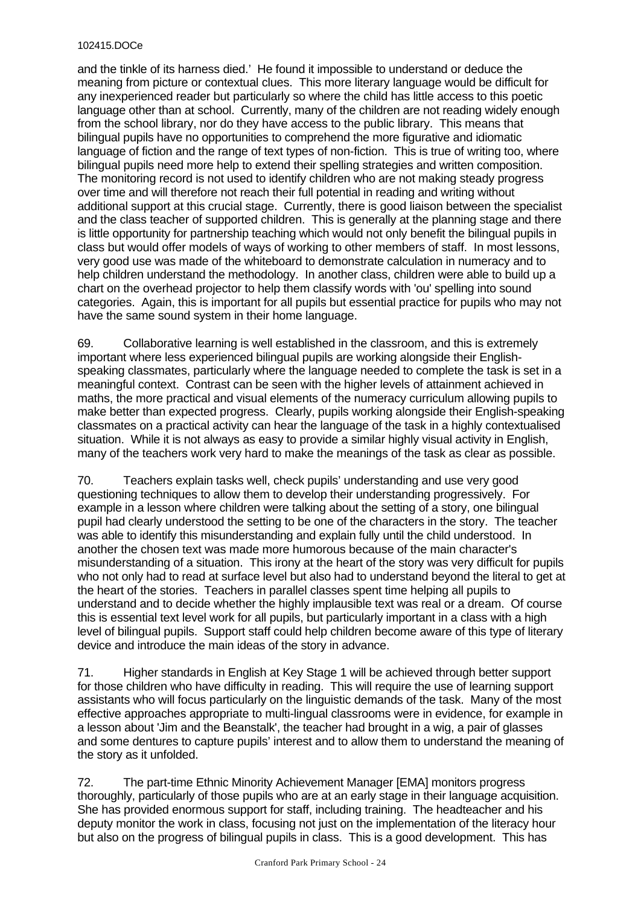and the tinkle of its harness died.' He found it impossible to understand or deduce the meaning from picture or contextual clues. This more literary language would be difficult for any inexperienced reader but particularly so where the child has little access to this poetic language other than at school. Currently, many of the children are not reading widely enough from the school library, nor do they have access to the public library. This means that bilingual pupils have no opportunities to comprehend the more figurative and idiomatic language of fiction and the range of text types of non-fiction. This is true of writing too, where bilingual pupils need more help to extend their spelling strategies and written composition. The monitoring record is not used to identify children who are not making steady progress over time and will therefore not reach their full potential in reading and writing without additional support at this crucial stage. Currently, there is good liaison between the specialist and the class teacher of supported children. This is generally at the planning stage and there is little opportunity for partnership teaching which would not only benefit the bilingual pupils in class but would offer models of ways of working to other members of staff. In most lessons, very good use was made of the whiteboard to demonstrate calculation in numeracy and to help children understand the methodology. In another class, children were able to build up a chart on the overhead projector to help them classify words with 'ou' spelling into sound categories. Again, this is important for all pupils but essential practice for pupils who may not have the same sound system in their home language.

69. Collaborative learning is well established in the classroom, and this is extremely important where less experienced bilingual pupils are working alongside their Englishspeaking classmates, particularly where the language needed to complete the task is set in a meaningful context. Contrast can be seen with the higher levels of attainment achieved in maths, the more practical and visual elements of the numeracy curriculum allowing pupils to make better than expected progress. Clearly, pupils working alongside their English-speaking classmates on a practical activity can hear the language of the task in a highly contextualised situation. While it is not always as easy to provide a similar highly visual activity in English, many of the teachers work very hard to make the meanings of the task as clear as possible.

70. Teachers explain tasks well, check pupils' understanding and use very good questioning techniques to allow them to develop their understanding progressively. For example in a lesson where children were talking about the setting of a story, one bilingual pupil had clearly understood the setting to be one of the characters in the story. The teacher was able to identify this misunderstanding and explain fully until the child understood. In another the chosen text was made more humorous because of the main character's misunderstanding of a situation. This irony at the heart of the story was very difficult for pupils who not only had to read at surface level but also had to understand beyond the literal to get at the heart of the stories. Teachers in parallel classes spent time helping all pupils to understand and to decide whether the highly implausible text was real or a dream. Of course this is essential text level work for all pupils, but particularly important in a class with a high level of bilingual pupils. Support staff could help children become aware of this type of literary device and introduce the main ideas of the story in advance.

71. Higher standards in English at Key Stage 1 will be achieved through better support for those children who have difficulty in reading. This will require the use of learning support assistants who will focus particularly on the linguistic demands of the task. Many of the most effective approaches appropriate to multi-lingual classrooms were in evidence, for example in a lesson about 'Jim and the Beanstalk', the teacher had brought in a wig, a pair of glasses and some dentures to capture pupils' interest and to allow them to understand the meaning of the story as it unfolded.

72. The part-time Ethnic Minority Achievement Manager [EMA] monitors progress thoroughly, particularly of those pupils who are at an early stage in their language acquisition. She has provided enormous support for staff, including training. The headteacher and his deputy monitor the work in class, focusing not just on the implementation of the literacy hour but also on the progress of bilingual pupils in class. This is a good development. This has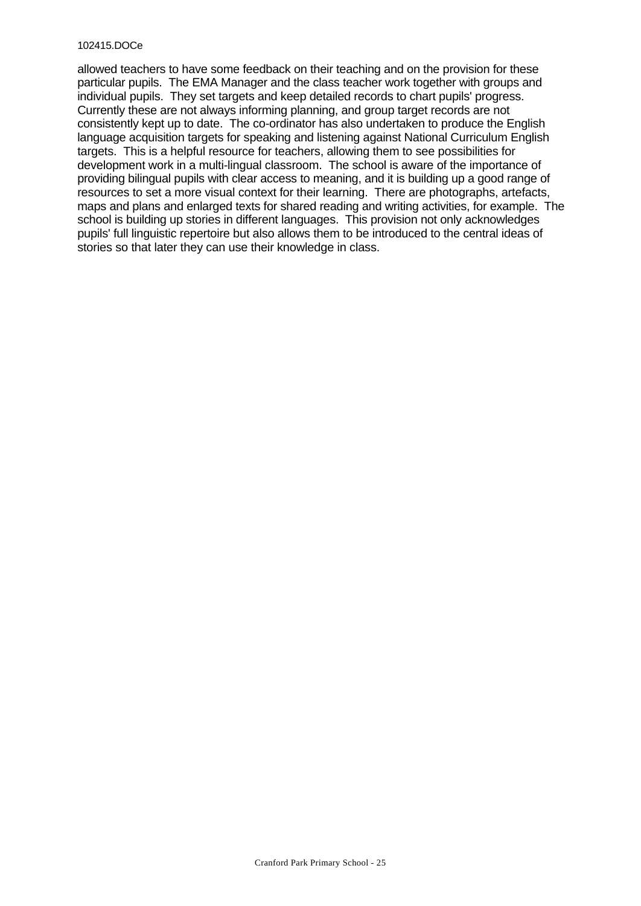allowed teachers to have some feedback on their teaching and on the provision for these particular pupils. The EMA Manager and the class teacher work together with groups and individual pupils. They set targets and keep detailed records to chart pupils' progress. Currently these are not always informing planning, and group target records are not consistently kept up to date. The co-ordinator has also undertaken to produce the English language acquisition targets for speaking and listening against National Curriculum English targets. This is a helpful resource for teachers, allowing them to see possibilities for development work in a multi-lingual classroom. The school is aware of the importance of providing bilingual pupils with clear access to meaning, and it is building up a good range of resources to set a more visual context for their learning. There are photographs, artefacts, maps and plans and enlarged texts for shared reading and writing activities, for example. The school is building up stories in different languages. This provision not only acknowledges pupils' full linguistic repertoire but also allows them to be introduced to the central ideas of stories so that later they can use their knowledge in class.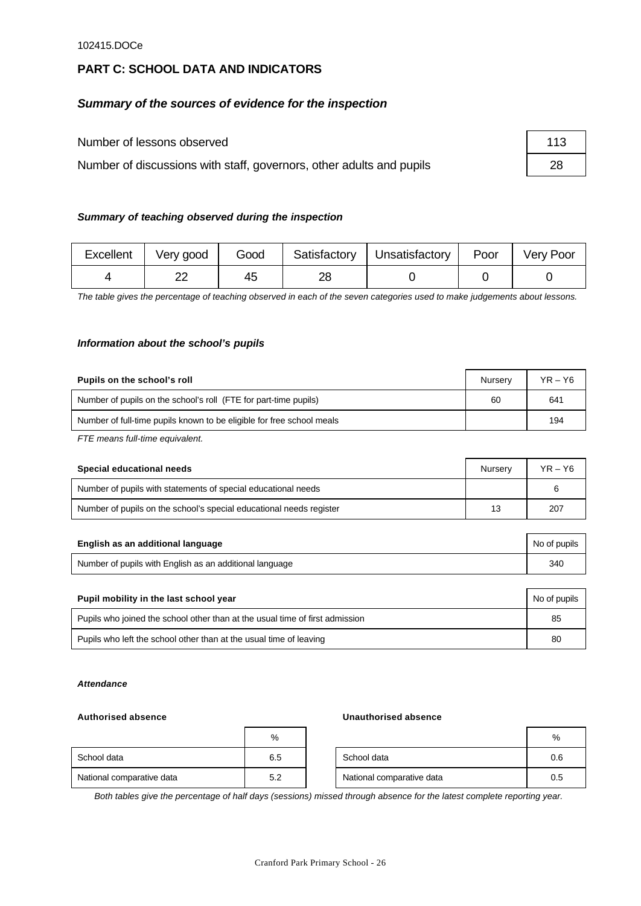# **PART C: SCHOOL DATA AND INDICATORS**

# *Summary of the sources of evidence for the inspection*

Number of lessons observed

Number of discussions with staff, governors, other adults and pupils

| 113 |  |
|-----|--|
| 28  |  |

## *Summary of teaching observed during the inspection*

| Excellent | Very good | Good |    | Satisfactory   Unsatisfactory | Poor | <b>Very Poor</b> |
|-----------|-----------|------|----|-------------------------------|------|------------------|
|           |           | 45   | റc |                               |      |                  |

*The table gives the percentage of teaching observed in each of the seven categories used to make judgements about lessons.*

### *Information about the school's pupils*

| Pupils on the school's roll                                           | Nurserv | $YR - Y6$ |
|-----------------------------------------------------------------------|---------|-----------|
| Number of pupils on the school's roll (FTE for part-time pupils)      | 60      | 641       |
| Number of full-time pupils known to be eligible for free school meals |         | 194       |

*FTE means full-time equivalent.*

| Special educational needs                                           | Nurserv | $YR - Y6$ |
|---------------------------------------------------------------------|---------|-----------|
| Number of pupils with statements of special educational needs       |         |           |
| Number of pupils on the school's special educational needs register | 13      | 207       |

| English as an additional language                       | No of pupils |
|---------------------------------------------------------|--------------|
| Number of pupils with English as an additional language | 340          |

| Pupil mobility in the last school year                                       |    |  |  |
|------------------------------------------------------------------------------|----|--|--|
| Pupils who joined the school other than at the usual time of first admission | 85 |  |  |
| Pupils who left the school other than at the usual time of leaving           | 80 |  |  |

#### *Attendance*

#### **Authorised absence Unauthorised absence**

|                           | %   |                           | %   |
|---------------------------|-----|---------------------------|-----|
| School data               | 6.5 | School data               | 0.6 |
| National comparative data | 5.2 | National comparative data | 0.5 |

*Both tables give the percentage of half days (sessions) missed through absence for the latest complete reporting year.*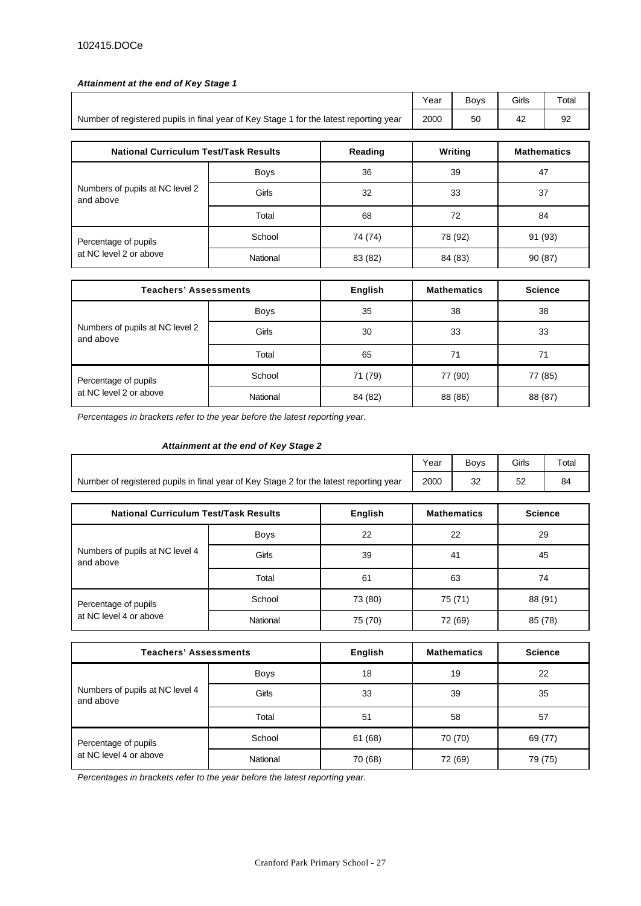#### *Attainment at the end of Key Stage 1*

|                                                                                        | Year        | <b>Boys</b> | Girls    | Total              |                    |  |
|----------------------------------------------------------------------------------------|-------------|-------------|----------|--------------------|--------------------|--|
| Number of registered pupils in final year of Key Stage 1 for the latest reporting year | 2000        | 50          | 42       | 92                 |                    |  |
|                                                                                        |             |             |          |                    |                    |  |
| <b>National Curriculum Test/Task Results</b><br>Reading                                |             |             |          | Writing            | <b>Mathematics</b> |  |
|                                                                                        | <b>Boys</b> | 36          | 39       |                    | 47                 |  |
| Numbers of pupils at NC level 2<br>and above                                           | Girls       | 32          | 37<br>33 |                    |                    |  |
|                                                                                        | Total       | 68          | 72<br>84 |                    |                    |  |
| Percentage of pupils                                                                   | School      | 74 (74)     |          | 78 (92)<br>91 (93) |                    |  |
| at NC level 2 or above                                                                 | National    | 83 (82)     |          | 84 (83)            | 90(87)             |  |

| <b>Teachers' Assessments</b>                 |             | English | <b>Mathematics</b> | <b>Science</b> |
|----------------------------------------------|-------------|---------|--------------------|----------------|
| Numbers of pupils at NC level 2<br>and above | <b>Boys</b> | 35      | 38                 | 38             |
|                                              | Girls       | 30      | 33                 | 33             |
|                                              | Total       | 65      | 71                 | 71             |
| Percentage of pupils                         | School      | 71 (79) | 77 (90)            | 77 (85)        |
| at NC level 2 or above                       | National    | 84 (82) | 88 (86)            | 88 (87)        |

*Percentages in brackets refer to the year before the latest reporting year.*

#### *Attainment at the end of Key Stage 2*

|                                                                                        | Year | Bovs | Girls     | $\tau$ otal |
|----------------------------------------------------------------------------------------|------|------|-----------|-------------|
| Number of registered pupils in final year of Key Stage 2 for the latest reporting year | 2000 | ےں   | r o<br>ےر | 84          |

| <b>National Curriculum Test/Task Results</b> |             | <b>English</b> | <b>Mathematics</b> | <b>Science</b> |
|----------------------------------------------|-------------|----------------|--------------------|----------------|
|                                              | <b>Boys</b> | 22             | 22                 | 29             |
| Numbers of pupils at NC level 4<br>and above | Girls       | 39             | 41                 | 45             |
|                                              | Total       | 61             | 63                 | 74             |
| Percentage of pupils                         | School      | 73 (80)        | 75 (71)            | 88 (91)        |
| at NC level 4 or above                       | National    | 75 (70)        | 72 (69)            | 85 (78)        |

| <b>Teachers' Assessments</b>                 |          | English | <b>Mathematics</b> | <b>Science</b> |
|----------------------------------------------|----------|---------|--------------------|----------------|
|                                              | Boys     | 18      | 19                 | 22             |
| Numbers of pupils at NC level 4<br>and above | Girls    | 33      | 39                 | 35             |
|                                              | Total    | 51      | 58                 | 57             |
| Percentage of pupils                         | School   | 61 (68) | 70 (70)            | 69 (77)        |
| at NC level 4 or above                       | National | 70 (68) | 72 (69)            | 79 (75)        |

*Percentages in brackets refer to the year before the latest reporting year.*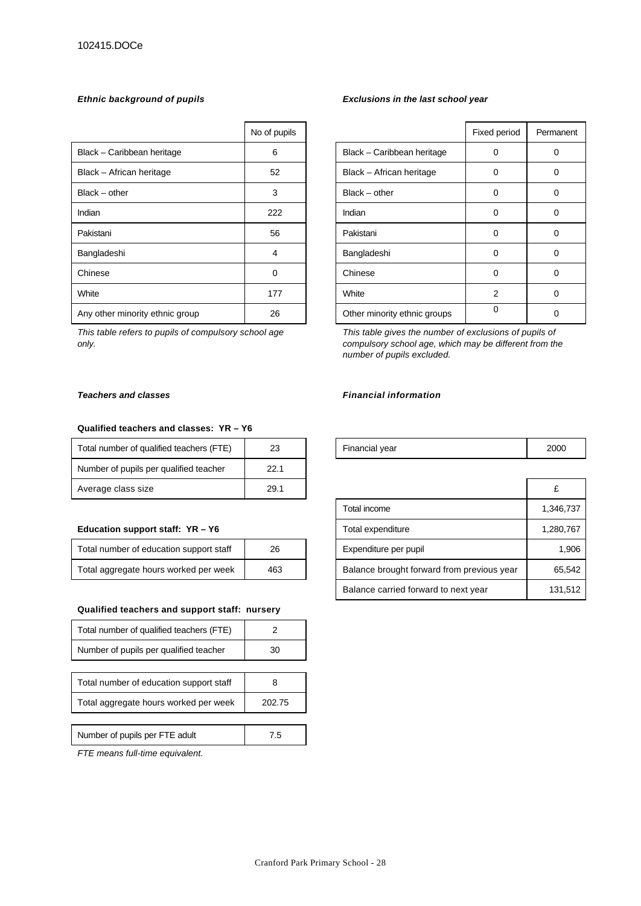|                                 | No of pupils |                              | Fixed period   | Perma |
|---------------------------------|--------------|------------------------------|----------------|-------|
| Black - Caribbean heritage      | 6            | Black - Caribbean heritage   | 0              | 0     |
| Black - African heritage        | 52           | Black - African heritage     | 0              | 0     |
| Black - other                   | 3            | $Black - other$              | 0              | 0     |
| Indian                          | 222          | Indian                       | 0              | 0     |
| Pakistani                       | 56           | Pakistani                    | 0              | 0     |
| Bangladeshi                     | 4            | Bangladeshi                  | 0              | 0     |
| Chinese                         | 0            | Chinese                      | 0              | 0     |
| White                           | 177          | White                        | $\overline{2}$ | 0     |
| Any other minority ethnic group | 26           | Other minority ethnic groups | 0              | 0     |

*This table refers to pupils of compulsory school age only.*

#### **Qualified teachers and classes: YR – Y6**

| Total number of qualified teachers (FTE) | 23   | Financial year | 2000 |
|------------------------------------------|------|----------------|------|
| Number of pupils per qualified teacher   | 22.1 |                |      |
| Average class size                       | 29.1 |                |      |

#### **Education support staff: YR - Y6**

| Total number of education support staff | 26  |
|-----------------------------------------|-----|
| Total aggregate hours worked per week   | 463 |

#### **Qualified teachers and support staff: nursery**

| Total number of qualified teachers (FTE) |        |
|------------------------------------------|--------|
| Number of pupils per qualified teacher   | 30     |
|                                          |        |
| Total number of education support staff  |        |
| Total aggregate hours worked per week    | 202.75 |
|                                          |        |
| Number of pupils per FTE adult           | 7.5    |

*FTE means full-time equivalent.*

#### *Ethnic background of pupils Exclusions in the last school year*

| No of pupils |                              | Fixed period   | Permanent |
|--------------|------------------------------|----------------|-----------|
| 6            | Black - Caribbean heritage   | 0              | 0         |
| 52           | Black - African heritage     | 0              | 0         |
| 3            | $Black - other$              | 0              | Ω         |
| 222          | Indian                       | 0              | 0         |
| 56           | Pakistani                    | 0              | 0         |
| 4            | Bangladeshi                  | 0              | Ω         |
| 0            | Chinese                      | $\Omega$       | ი         |
| 177          | White                        | $\overline{2}$ | 0         |
| 26           | Other minority ethnic groups | 0              |           |

*This table gives the number of exclusions of pupils of compulsory school age, which may be different from the number of pupils excluded.*

#### *Teachers and classes Financial information*

| Financial year | 2000 |
|----------------|------|
|----------------|------|

| Average class size                      | 29.1 |                                            | £         |
|-----------------------------------------|------|--------------------------------------------|-----------|
|                                         |      | Total income                               | 1,346,737 |
| Education support staff: YR - Y6        |      | Total expenditure                          | 1,280,767 |
| Total number of education support staff | 26   | Expenditure per pupil                      | 1.906     |
| Total aggregate hours worked per week   | 463  | Balance brought forward from previous year | 65.542    |
|                                         |      | Balance carried forward to next year       | 131,512   |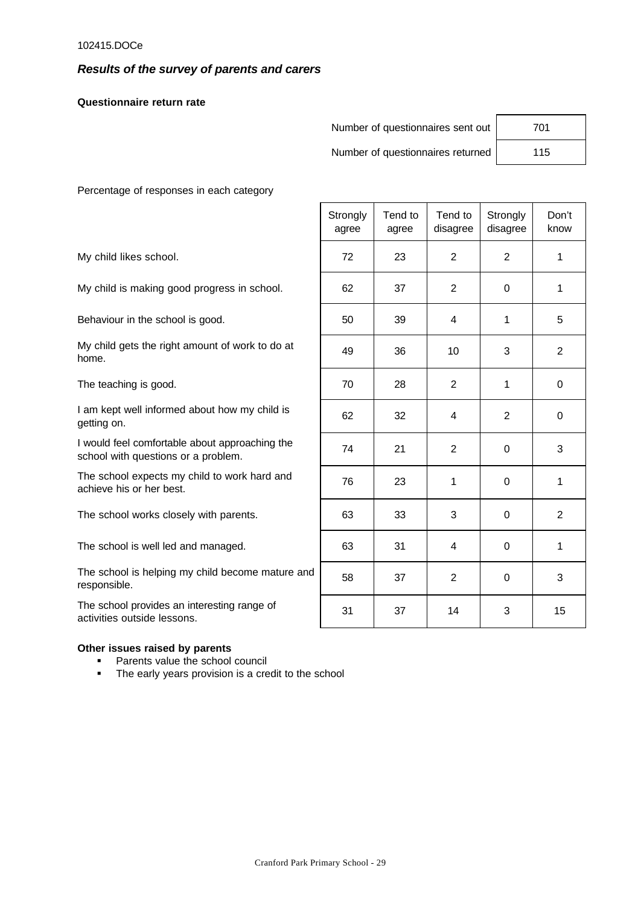## *Results of the survey of parents and carers*

**Questionnaire return rate**

|                                          | Number of questionnaires sent out |                  |                                   |                      | 701           |  |
|------------------------------------------|-----------------------------------|------------------|-----------------------------------|----------------------|---------------|--|
|                                          |                                   |                  | Number of questionnaires returned |                      | 115           |  |
| Percentage of responses in each category |                                   |                  |                                   |                      |               |  |
|                                          | Strongly<br>agree                 | Tend to<br>agree | Tend to<br>disagree               | Strongly<br>disagree | Don't<br>know |  |

#### **Other issues raised by parents**

- **•** Parents value the school council
- The early years provision is a credit to the school

|                                                                                       | Strongly<br>agree | Tend to<br>agree | Tend to<br>disagree | Strongly<br>disagree | Don't<br>know  |
|---------------------------------------------------------------------------------------|-------------------|------------------|---------------------|----------------------|----------------|
| My child likes school.                                                                | 72                | 23               | $\overline{2}$      | $\overline{2}$       | $\mathbf{1}$   |
| My child is making good progress in school.                                           | 62                | 37               | $\overline{2}$      | 0                    | $\mathbf{1}$   |
| Behaviour in the school is good.                                                      | 50                | 39               | 4                   | 1                    | 5              |
| My child gets the right amount of work to do at<br>home.                              | 49                | 36               | 10                  | 3                    | $\overline{2}$ |
| The teaching is good.                                                                 | 70                | 28               | 2                   | $\mathbf 1$          | 0              |
| I am kept well informed about how my child is<br>getting on.                          | 62                | 32               | 4                   | $\overline{2}$       | $\Omega$       |
| I would feel comfortable about approaching the<br>school with questions or a problem. | 74                | 21               | $\overline{2}$      | 0                    | 3              |
| The school expects my child to work hard and<br>achieve his or her best.              | 76                | 23               | 1                   | 0                    | $\mathbf{1}$   |
| The school works closely with parents.                                                | 63                | 33               | 3                   | $\Omega$             | 2              |
| The school is well led and managed.                                                   | 63                | 31               | 4                   | $\Omega$             | 1              |
| The school is helping my child become mature and<br>responsible.                      | 58                | 37               | 2                   | $\Omega$             | 3              |
| The school provides an interesting range of<br>activities outside lessons.            | 31                | 37               | 14                  | 3                    | 15             |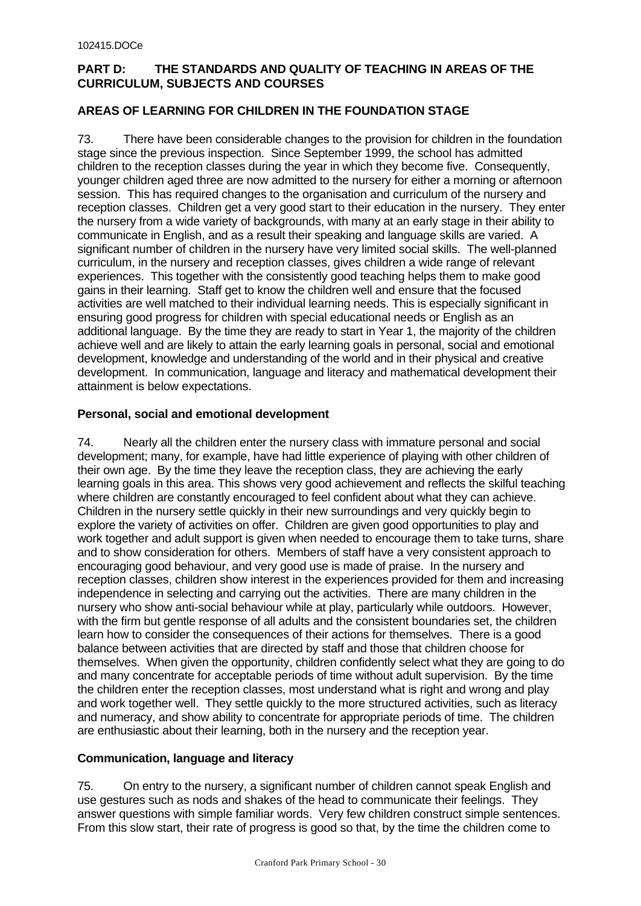# **PART D: THE STANDARDS AND QUALITY OF TEACHING IN AREAS OF THE CURRICULUM, SUBJECTS AND COURSES**

# **AREAS OF LEARNING FOR CHILDREN IN THE FOUNDATION STAGE**

73. There have been considerable changes to the provision for children in the foundation stage since the previous inspection. Since September 1999, the school has admitted children to the reception classes during the year in which they become five. Consequently, younger children aged three are now admitted to the nursery for either a morning or afternoon session. This has required changes to the organisation and curriculum of the nursery and reception classes. Children get a very good start to their education in the nursery. They enter the nursery from a wide variety of backgrounds, with many at an early stage in their ability to communicate in English, and as a result their speaking and language skills are varied. A significant number of children in the nursery have very limited social skills. The well-planned curriculum, in the nursery and reception classes, gives children a wide range of relevant experiences. This together with the consistently good teaching helps them to make good gains in their learning. Staff get to know the children well and ensure that the focused activities are well matched to their individual learning needs. This is especially significant in ensuring good progress for children with special educational needs or English as an additional language. By the time they are ready to start in Year 1, the majority of the children achieve well and are likely to attain the early learning goals in personal, social and emotional development, knowledge and understanding of the world and in their physical and creative development. In communication, language and literacy and mathematical development their attainment is below expectations.

# **Personal, social and emotional development**

74. Nearly all the children enter the nursery class with immature personal and social development; many, for example, have had little experience of playing with other children of their own age. By the time they leave the reception class, they are achieving the early learning goals in this area. This shows very good achievement and reflects the skilful teaching where children are constantly encouraged to feel confident about what they can achieve. Children in the nursery settle quickly in their new surroundings and very quickly begin to explore the variety of activities on offer. Children are given good opportunities to play and work together and adult support is given when needed to encourage them to take turns, share and to show consideration for others. Members of staff have a very consistent approach to encouraging good behaviour, and very good use is made of praise. In the nursery and reception classes, children show interest in the experiences provided for them and increasing independence in selecting and carrying out the activities. There are many children in the nursery who show anti-social behaviour while at play, particularly while outdoors. However, with the firm but gentle response of all adults and the consistent boundaries set, the children learn how to consider the consequences of their actions for themselves. There is a good balance between activities that are directed by staff and those that children choose for themselves. When given the opportunity, children confidently select what they are going to do and many concentrate for acceptable periods of time without adult supervision. By the time the children enter the reception classes, most understand what is right and wrong and play and work together well. They settle quickly to the more structured activities, such as literacy and numeracy, and show ability to concentrate for appropriate periods of time. The children are enthusiastic about their learning, both in the nursery and the reception year.

# **Communication, language and literacy**

75. On entry to the nursery, a significant number of children cannot speak English and use gestures such as nods and shakes of the head to communicate their feelings. They answer questions with simple familiar words. Very few children construct simple sentences. From this slow start, their rate of progress is good so that, by the time the children come to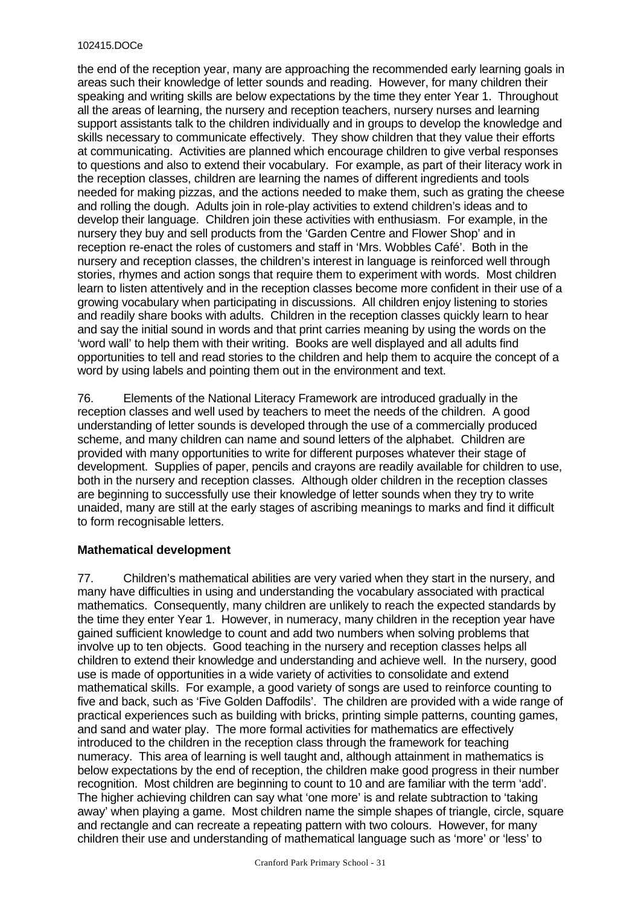the end of the reception year, many are approaching the recommended early learning goals in areas such their knowledge of letter sounds and reading. However, for many children their speaking and writing skills are below expectations by the time they enter Year 1. Throughout all the areas of learning, the nursery and reception teachers, nursery nurses and learning support assistants talk to the children individually and in groups to develop the knowledge and skills necessary to communicate effectively. They show children that they value their efforts at communicating. Activities are planned which encourage children to give verbal responses to questions and also to extend their vocabulary. For example, as part of their literacy work in the reception classes, children are learning the names of different ingredients and tools needed for making pizzas, and the actions needed to make them, such as grating the cheese and rolling the dough. Adults join in role-play activities to extend children's ideas and to develop their language. Children join these activities with enthusiasm. For example, in the nursery they buy and sell products from the 'Garden Centre and Flower Shop' and in reception re-enact the roles of customers and staff in 'Mrs. Wobbles Café'. Both in the nursery and reception classes, the children's interest in language is reinforced well through stories, rhymes and action songs that require them to experiment with words. Most children learn to listen attentively and in the reception classes become more confident in their use of a growing vocabulary when participating in discussions. All children enjoy listening to stories and readily share books with adults. Children in the reception classes quickly learn to hear and say the initial sound in words and that print carries meaning by using the words on the 'word wall' to help them with their writing. Books are well displayed and all adults find opportunities to tell and read stories to the children and help them to acquire the concept of a word by using labels and pointing them out in the environment and text.

76. Elements of the National Literacy Framework are introduced gradually in the reception classes and well used by teachers to meet the needs of the children. A good understanding of letter sounds is developed through the use of a commercially produced scheme, and many children can name and sound letters of the alphabet. Children are provided with many opportunities to write for different purposes whatever their stage of development. Supplies of paper, pencils and crayons are readily available for children to use, both in the nursery and reception classes. Although older children in the reception classes are beginning to successfully use their knowledge of letter sounds when they try to write unaided, many are still at the early stages of ascribing meanings to marks and find it difficult to form recognisable letters.

# **Mathematical development**

77. Children's mathematical abilities are very varied when they start in the nursery, and many have difficulties in using and understanding the vocabulary associated with practical mathematics. Consequently, many children are unlikely to reach the expected standards by the time they enter Year 1. However, in numeracy, many children in the reception year have gained sufficient knowledge to count and add two numbers when solving problems that involve up to ten objects. Good teaching in the nursery and reception classes helps all children to extend their knowledge and understanding and achieve well. In the nursery, good use is made of opportunities in a wide variety of activities to consolidate and extend mathematical skills. For example, a good variety of songs are used to reinforce counting to five and back, such as 'Five Golden Daffodils'. The children are provided with a wide range of practical experiences such as building with bricks, printing simple patterns, counting games, and sand and water play. The more formal activities for mathematics are effectively introduced to the children in the reception class through the framework for teaching numeracy. This area of learning is well taught and, although attainment in mathematics is below expectations by the end of reception, the children make good progress in their number recognition. Most children are beginning to count to 10 and are familiar with the term 'add'. The higher achieving children can say what 'one more' is and relate subtraction to 'taking away' when playing a game. Most children name the simple shapes of triangle, circle, square and rectangle and can recreate a repeating pattern with two colours. However, for many children their use and understanding of mathematical language such as 'more' or 'less' to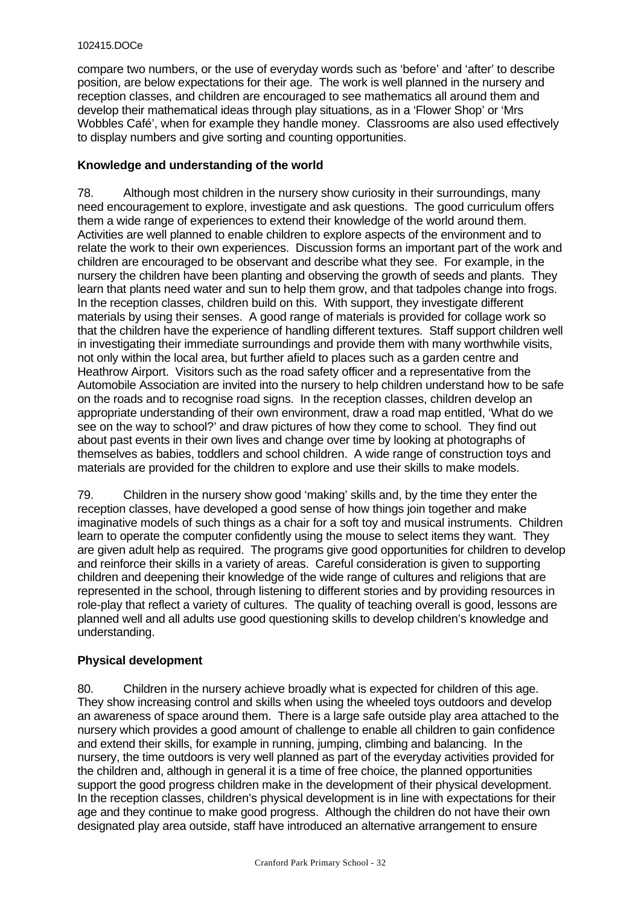compare two numbers, or the use of everyday words such as 'before' and 'after' to describe position, are below expectations for their age. The work is well planned in the nursery and reception classes, and children are encouraged to see mathematics all around them and develop their mathematical ideas through play situations, as in a 'Flower Shop' or 'Mrs Wobbles Café', when for example they handle money. Classrooms are also used effectively to display numbers and give sorting and counting opportunities.

# **Knowledge and understanding of the world**

78. Although most children in the nursery show curiosity in their surroundings, many need encouragement to explore, investigate and ask questions. The good curriculum offers them a wide range of experiences to extend their knowledge of the world around them. Activities are well planned to enable children to explore aspects of the environment and to relate the work to their own experiences. Discussion forms an important part of the work and children are encouraged to be observant and describe what they see. For example, in the nursery the children have been planting and observing the growth of seeds and plants. They learn that plants need water and sun to help them grow, and that tadpoles change into frogs. In the reception classes, children build on this. With support, they investigate different materials by using their senses. A good range of materials is provided for collage work so that the children have the experience of handling different textures. Staff support children well in investigating their immediate surroundings and provide them with many worthwhile visits, not only within the local area, but further afield to places such as a garden centre and Heathrow Airport. Visitors such as the road safety officer and a representative from the Automobile Association are invited into the nursery to help children understand how to be safe on the roads and to recognise road signs. In the reception classes, children develop an appropriate understanding of their own environment, draw a road map entitled, 'What do we see on the way to school?' and draw pictures of how they come to school. They find out about past events in their own lives and change over time by looking at photographs of themselves as babies, toddlers and school children. A wide range of construction toys and materials are provided for the children to explore and use their skills to make models.

79. Children in the nursery show good 'making' skills and, by the time they enter the reception classes, have developed a good sense of how things join together and make imaginative models of such things as a chair for a soft toy and musical instruments. Children learn to operate the computer confidently using the mouse to select items they want. They are given adult help as required. The programs give good opportunities for children to develop and reinforce their skills in a variety of areas. Careful consideration is given to supporting children and deepening their knowledge of the wide range of cultures and religions that are represented in the school, through listening to different stories and by providing resources in role-play that reflect a variety of cultures. The quality of teaching overall is good, lessons are planned well and all adults use good questioning skills to develop children's knowledge and understanding.

# **Physical development**

80. Children in the nursery achieve broadly what is expected for children of this age. They show increasing control and skills when using the wheeled toys outdoors and develop an awareness of space around them. There is a large safe outside play area attached to the nursery which provides a good amount of challenge to enable all children to gain confidence and extend their skills, for example in running, jumping, climbing and balancing. In the nursery, the time outdoors is very well planned as part of the everyday activities provided for the children and, although in general it is a time of free choice, the planned opportunities support the good progress children make in the development of their physical development. In the reception classes, children's physical development is in line with expectations for their age and they continue to make good progress. Although the children do not have their own designated play area outside, staff have introduced an alternative arrangement to ensure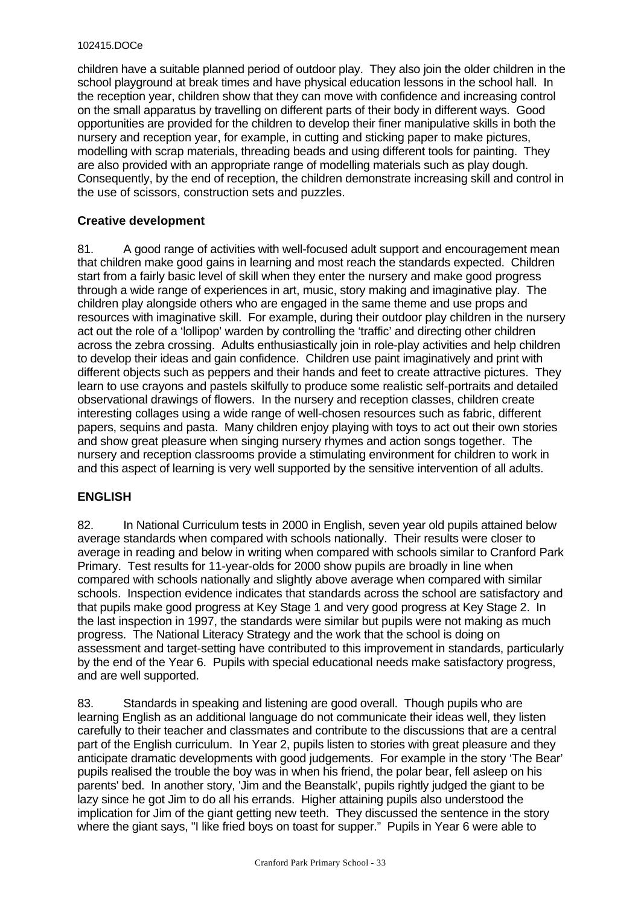children have a suitable planned period of outdoor play. They also join the older children in the school playground at break times and have physical education lessons in the school hall. In the reception year, children show that they can move with confidence and increasing control on the small apparatus by travelling on different parts of their body in different ways. Good opportunities are provided for the children to develop their finer manipulative skills in both the nursery and reception year, for example, in cutting and sticking paper to make pictures, modelling with scrap materials, threading beads and using different tools for painting. They are also provided with an appropriate range of modelling materials such as play dough. Consequently, by the end of reception, the children demonstrate increasing skill and control in the use of scissors, construction sets and puzzles.

# **Creative development**

81. A good range of activities with well-focused adult support and encouragement mean that children make good gains in learning and most reach the standards expected. Children start from a fairly basic level of skill when they enter the nursery and make good progress through a wide range of experiences in art, music, story making and imaginative play. The children play alongside others who are engaged in the same theme and use props and resources with imaginative skill. For example, during their outdoor play children in the nursery act out the role of a 'lollipop' warden by controlling the 'traffic' and directing other children across the zebra crossing. Adults enthusiastically join in role-play activities and help children to develop their ideas and gain confidence. Children use paint imaginatively and print with different objects such as peppers and their hands and feet to create attractive pictures. They learn to use crayons and pastels skilfully to produce some realistic self-portraits and detailed observational drawings of flowers. In the nursery and reception classes, children create interesting collages using a wide range of well-chosen resources such as fabric, different papers, sequins and pasta. Many children enjoy playing with toys to act out their own stories and show great pleasure when singing nursery rhymes and action songs together. The nursery and reception classrooms provide a stimulating environment for children to work in and this aspect of learning is very well supported by the sensitive intervention of all adults.

# **ENGLISH**

82. In National Curriculum tests in 2000 in English, seven year old pupils attained below average standards when compared with schools nationally. Their results were closer to average in reading and below in writing when compared with schools similar to Cranford Park Primary. Test results for 11-year-olds for 2000 show pupils are broadly in line when compared with schools nationally and slightly above average when compared with similar schools. Inspection evidence indicates that standards across the school are satisfactory and that pupils make good progress at Key Stage 1 and very good progress at Key Stage 2. In the last inspection in 1997, the standards were similar but pupils were not making as much progress. The National Literacy Strategy and the work that the school is doing on assessment and target-setting have contributed to this improvement in standards, particularly by the end of the Year 6. Pupils with special educational needs make satisfactory progress, and are well supported.

83. Standards in speaking and listening are good overall. Though pupils who are learning English as an additional language do not communicate their ideas well, they listen carefully to their teacher and classmates and contribute to the discussions that are a central part of the English curriculum. In Year 2, pupils listen to stories with great pleasure and they anticipate dramatic developments with good judgements. For example in the story 'The Bear' pupils realised the trouble the boy was in when his friend, the polar bear, fell asleep on his parents' bed. In another story, 'Jim and the Beanstalk', pupils rightly judged the giant to be lazy since he got Jim to do all his errands. Higher attaining pupils also understood the implication for Jim of the giant getting new teeth. They discussed the sentence in the story where the giant says, "I like fried boys on toast for supper." Pupils in Year 6 were able to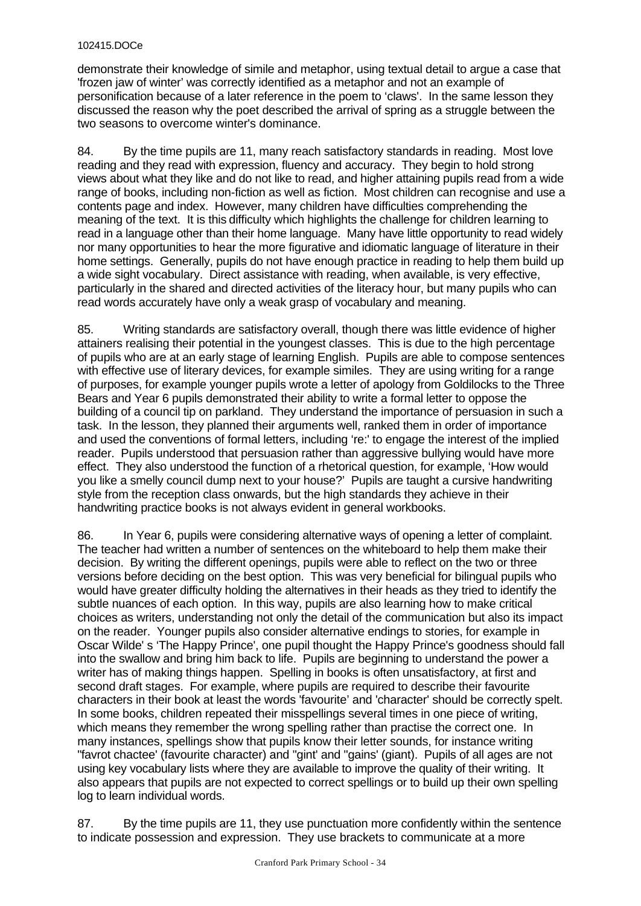demonstrate their knowledge of simile and metaphor, using textual detail to argue a case that 'frozen jaw of winter' was correctly identified as a metaphor and not an example of personification because of a later reference in the poem to 'claws'. In the same lesson they discussed the reason why the poet described the arrival of spring as a struggle between the two seasons to overcome winter's dominance.

84. By the time pupils are 11, many reach satisfactory standards in reading. Most love reading and they read with expression, fluency and accuracy. They begin to hold strong views about what they like and do not like to read, and higher attaining pupils read from a wide range of books, including non-fiction as well as fiction. Most children can recognise and use a contents page and index. However, many children have difficulties comprehending the meaning of the text. It is this difficulty which highlights the challenge for children learning to read in a language other than their home language. Many have little opportunity to read widely nor many opportunities to hear the more figurative and idiomatic language of literature in their home settings. Generally, pupils do not have enough practice in reading to help them build up a wide sight vocabulary. Direct assistance with reading, when available, is very effective, particularly in the shared and directed activities of the literacy hour, but many pupils who can read words accurately have only a weak grasp of vocabulary and meaning.

85. Writing standards are satisfactory overall, though there was little evidence of higher attainers realising their potential in the youngest classes. This is due to the high percentage of pupils who are at an early stage of learning English. Pupils are able to compose sentences with effective use of literary devices, for example similes. They are using writing for a range of purposes, for example younger pupils wrote a letter of apology from Goldilocks to the Three Bears and Year 6 pupils demonstrated their ability to write a formal letter to oppose the building of a council tip on parkland. They understand the importance of persuasion in such a task. In the lesson, they planned their arguments well, ranked them in order of importance and used the conventions of formal letters, including 're:' to engage the interest of the implied reader. Pupils understood that persuasion rather than aggressive bullying would have more effect. They also understood the function of a rhetorical question, for example, 'How would you like a smelly council dump next to your house?' Pupils are taught a cursive handwriting style from the reception class onwards, but the high standards they achieve in their handwriting practice books is not always evident in general workbooks.

86. In Year 6, pupils were considering alternative ways of opening a letter of complaint. The teacher had written a number of sentences on the whiteboard to help them make their decision. By writing the different openings, pupils were able to reflect on the two or three versions before deciding on the best option. This was very beneficial for bilingual pupils who would have greater difficulty holding the alternatives in their heads as they tried to identify the subtle nuances of each option. In this way, pupils are also learning how to make critical choices as writers, understanding not only the detail of the communication but also its impact on the reader. Younger pupils also consider alternative endings to stories, for example in Oscar Wilde' s 'The Happy Prince', one pupil thought the Happy Prince's goodness should fall into the swallow and bring him back to life. Pupils are beginning to understand the power a writer has of making things happen. Spelling in books is often unsatisfactory, at first and second draft stages. For example, where pupils are required to describe their favourite characters in their book at least the words 'favourite' and 'character' should be correctly spelt. In some books, children repeated their misspellings several times in one piece of writing, which means they remember the wrong spelling rather than practise the correct one. In many instances, spellings show that pupils know their letter sounds, for instance writing "favrot chactee' (favourite character) and "gint' and "gains' (giant). Pupils of all ages are not using key vocabulary lists where they are available to improve the quality of their writing. It also appears that pupils are not expected to correct spellings or to build up their own spelling log to learn individual words.

87. By the time pupils are 11, they use punctuation more confidently within the sentence to indicate possession and expression. They use brackets to communicate at a more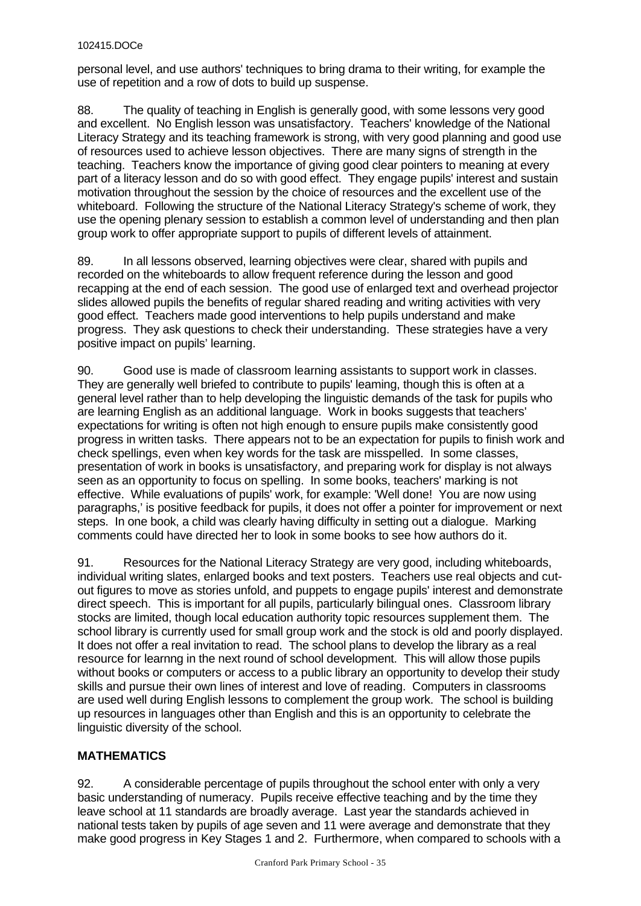personal level, and use authors' techniques to bring drama to their writing, for example the use of repetition and a row of dots to build up suspense.

88. The quality of teaching in English is generally good, with some lessons very good and excellent. No English lesson was unsatisfactory. Teachers' knowledge of the National Literacy Strategy and its teaching framework is strong, with very good planning and good use of resources used to achieve lesson objectives. There are many signs of strength in the teaching. Teachers know the importance of giving good clear pointers to meaning at every part of a literacy lesson and do so with good effect. They engage pupils' interest and sustain motivation throughout the session by the choice of resources and the excellent use of the whiteboard. Following the structure of the National Literacy Strategy's scheme of work, they use the opening plenary session to establish a common level of understanding and then plan group work to offer appropriate support to pupils of different levels of attainment.

89. In all lessons observed, learning objectives were clear, shared with pupils and recorded on the whiteboards to allow frequent reference during the lesson and good recapping at the end of each session. The good use of enlarged text and overhead projector slides allowed pupils the benefits of regular shared reading and writing activities with very good effect. Teachers made good interventions to help pupils understand and make progress. They ask questions to check their understanding. These strategies have a very positive impact on pupils' learning.

90. Good use is made of classroom learning assistants to support work in classes. They are generally well briefed to contribute to pupils' leaming, though this is often at a general level rather than to help developing the linguistic demands of the task for pupils who are learning English as an additional language. Work in books suggests that teachers' expectations for writing is often not high enough to ensure pupils make consistently good progress in written tasks. There appears not to be an expectation for pupils to finish work and check spellings, even when key words for the task are misspelled. In some classes, presentation of work in books is unsatisfactory, and preparing work for display is not always seen as an opportunity to focus on spelling. In some books, teachers' marking is not effective. While evaluations of pupils' work, for example: 'Well done! You are now using paragraphs,' is positive feedback for pupils, it does not offer a pointer for improvement or next steps. In one book, a child was clearly having difficulty in setting out a dialogue. Marking comments could have directed her to look in some books to see how authors do it.

91. Resources for the National Literacy Strategy are very good, including whiteboards, individual writing slates, enlarged books and text posters. Teachers use real objects and cutout figures to move as stories unfold, and puppets to engage pupils' interest and demonstrate direct speech. This is important for all pupils, particularly bilingual ones. Classroom library stocks are limited, though local education authority topic resources supplement them. The school library is currently used for small group work and the stock is old and poorly displayed. It does not offer a real invitation to read. The school plans to develop the library as a real resource for learnng in the next round of school development. This will allow those pupils without books or computers or access to a public library an opportunity to develop their study skills and pursue their own lines of interest and love of reading. Computers in classrooms are used well during English lessons to complement the group work. The school is building up resources in languages other than English and this is an opportunity to celebrate the linguistic diversity of the school.

# **MATHEMATICS**

92. A considerable percentage of pupils throughout the school enter with only a very basic understanding of numeracy. Pupils receive effective teaching and by the time they leave school at 11 standards are broadly average. Last year the standards achieved in national tests taken by pupils of age seven and 11 were average and demonstrate that they make good progress in Key Stages 1 and 2. Furthermore, when compared to schools with a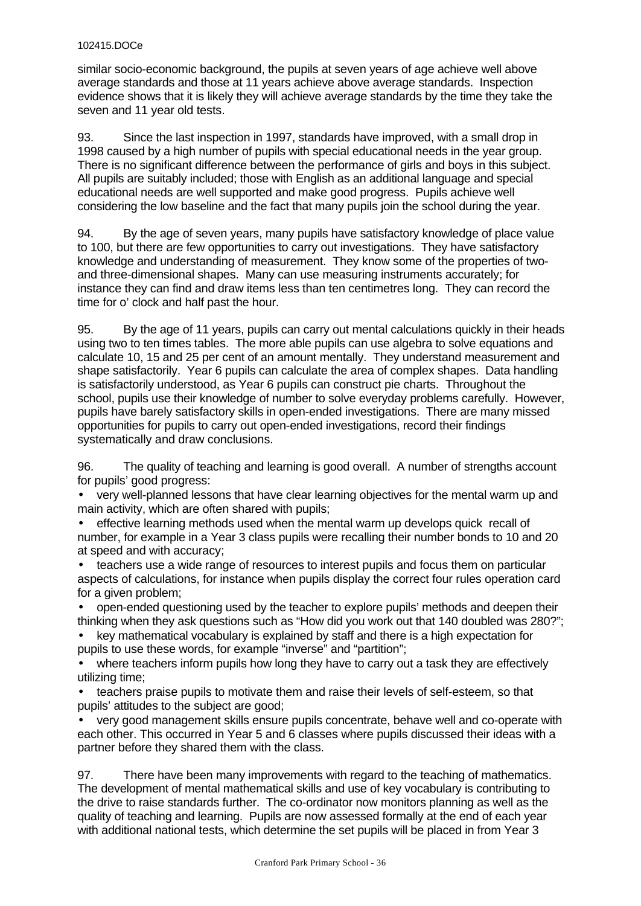similar socio-economic background, the pupils at seven years of age achieve well above average standards and those at 11 years achieve above average standards. Inspection evidence shows that it is likely they will achieve average standards by the time they take the seven and 11 year old tests.

93. Since the last inspection in 1997, standards have improved, with a small drop in 1998 caused by a high number of pupils with special educational needs in the year group. There is no significant difference between the performance of girls and boys in this subject. All pupils are suitably included; those with English as an additional language and special educational needs are well supported and make good progress. Pupils achieve well considering the low baseline and the fact that many pupils join the school during the year.

94. By the age of seven years, many pupils have satisfactory knowledge of place value to 100, but there are few opportunities to carry out investigations. They have satisfactory knowledge and understanding of measurement. They know some of the properties of twoand three-dimensional shapes. Many can use measuring instruments accurately; for instance they can find and draw items less than ten centimetres long. They can record the time for o' clock and half past the hour.

95. By the age of 11 years, pupils can carry out mental calculations quickly in their heads using two to ten times tables. The more able pupils can use algebra to solve equations and calculate 10, 15 and 25 per cent of an amount mentally. They understand measurement and shape satisfactorily. Year 6 pupils can calculate the area of complex shapes. Data handling is satisfactorily understood, as Year 6 pupils can construct pie charts. Throughout the school, pupils use their knowledge of number to solve everyday problems carefully. However, pupils have barely satisfactory skills in open-ended investigations. There are many missed opportunities for pupils to carry out open-ended investigations, record their findings systematically and draw conclusions.

96. The quality of teaching and learning is good overall. A number of strengths account for pupils' good progress:

• very well-planned lessons that have clear learning objectives for the mental warm up and main activity, which are often shared with pupils;

• effective learning methods used when the mental warm up develops quick recall of number, for example in a Year 3 class pupils were recalling their number bonds to 10 and 20 at speed and with accuracy;

• teachers use a wide range of resources to interest pupils and focus them on particular aspects of calculations, for instance when pupils display the correct four rules operation card for a given problem;

• open-ended questioning used by the teacher to explore pupils' methods and deepen their thinking when they ask questions such as "How did you work out that 140 doubled was 280?";

• key mathematical vocabulary is explained by staff and there is a high expectation for pupils to use these words, for example "inverse" and "partition";

where teachers inform pupils how long they have to carry out a task they are effectively utilizing time;

• teachers praise pupils to motivate them and raise their levels of self-esteem, so that pupils' attitudes to the subject are good;

• very good management skills ensure pupils concentrate, behave well and co-operate with each other. This occurred in Year 5 and 6 classes where pupils discussed their ideas with a partner before they shared them with the class.

97. There have been many improvements with regard to the teaching of mathematics. The development of mental mathematical skills and use of key vocabulary is contributing to the drive to raise standards further. The co-ordinator now monitors planning as well as the quality of teaching and learning. Pupils are now assessed formally at the end of each year with additional national tests, which determine the set pupils will be placed in from Year 3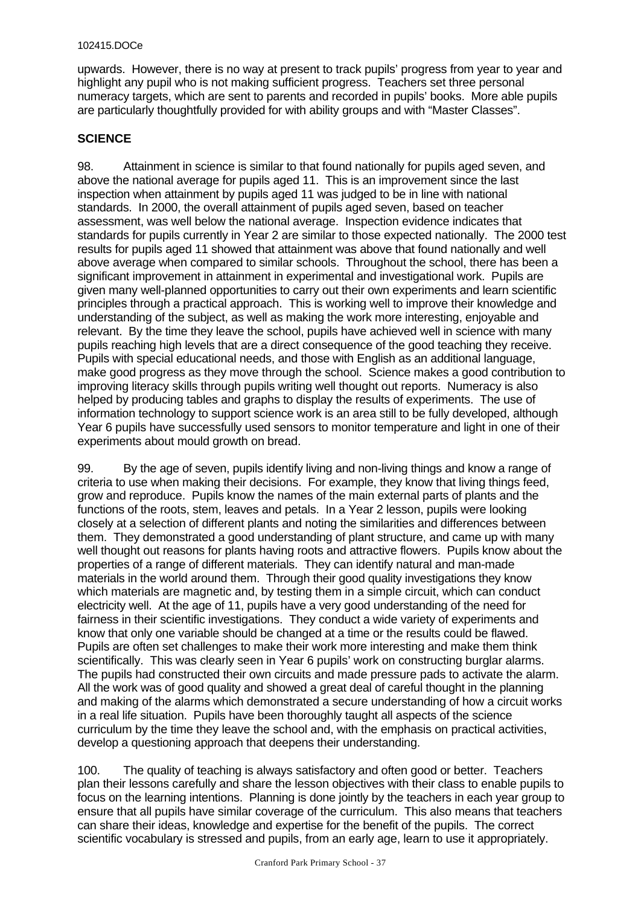upwards. However, there is no way at present to track pupils' progress from year to year and highlight any pupil who is not making sufficient progress. Teachers set three personal numeracy targets, which are sent to parents and recorded in pupils' books. More able pupils are particularly thoughtfully provided for with ability groups and with "Master Classes".

# **SCIENCE**

98. Attainment in science is similar to that found nationally for pupils aged seven, and above the national average for pupils aged 11. This is an improvement since the last inspection when attainment by pupils aged 11 was judged to be in line with national standards. In 2000, the overall attainment of pupils aged seven, based on teacher assessment, was well below the national average. Inspection evidence indicates that standards for pupils currently in Year 2 are similar to those expected nationally. The 2000 test results for pupils aged 11 showed that attainment was above that found nationally and well above average when compared to similar schools. Throughout the school, there has been a significant improvement in attainment in experimental and investigational work. Pupils are given many well-planned opportunities to carry out their own experiments and learn scientific principles through a practical approach. This is working well to improve their knowledge and understanding of the subject, as well as making the work more interesting, enjoyable and relevant. By the time they leave the school, pupils have achieved well in science with many pupils reaching high levels that are a direct consequence of the good teaching they receive. Pupils with special educational needs, and those with English as an additional language, make good progress as they move through the school. Science makes a good contribution to improving literacy skills through pupils writing well thought out reports. Numeracy is also helped by producing tables and graphs to display the results of experiments. The use of information technology to support science work is an area still to be fully developed, although Year 6 pupils have successfully used sensors to monitor temperature and light in one of their experiments about mould growth on bread.

99. By the age of seven, pupils identify living and non-living things and know a range of criteria to use when making their decisions. For example, they know that living things feed, grow and reproduce. Pupils know the names of the main external parts of plants and the functions of the roots, stem, leaves and petals. In a Year 2 lesson, pupils were looking closely at a selection of different plants and noting the similarities and differences between them. They demonstrated a good understanding of plant structure, and came up with many well thought out reasons for plants having roots and attractive flowers. Pupils know about the properties of a range of different materials. They can identify natural and man-made materials in the world around them. Through their good quality investigations they know which materials are magnetic and, by testing them in a simple circuit, which can conduct electricity well. At the age of 11, pupils have a very good understanding of the need for fairness in their scientific investigations. They conduct a wide variety of experiments and know that only one variable should be changed at a time or the results could be flawed. Pupils are often set challenges to make their work more interesting and make them think scientifically. This was clearly seen in Year 6 pupils' work on constructing burglar alarms. The pupils had constructed their own circuits and made pressure pads to activate the alarm. All the work was of good quality and showed a great deal of careful thought in the planning and making of the alarms which demonstrated a secure understanding of how a circuit works in a real life situation. Pupils have been thoroughly taught all aspects of the science curriculum by the time they leave the school and, with the emphasis on practical activities, develop a questioning approach that deepens their understanding.

100. The quality of teaching is always satisfactory and often good or better. Teachers plan their lessons carefully and share the lesson objectives with their class to enable pupils to focus on the learning intentions. Planning is done jointly by the teachers in each year group to ensure that all pupils have similar coverage of the curriculum. This also means that teachers can share their ideas, knowledge and expertise for the benefit of the pupils. The correct scientific vocabulary is stressed and pupils, from an early age, learn to use it appropriately.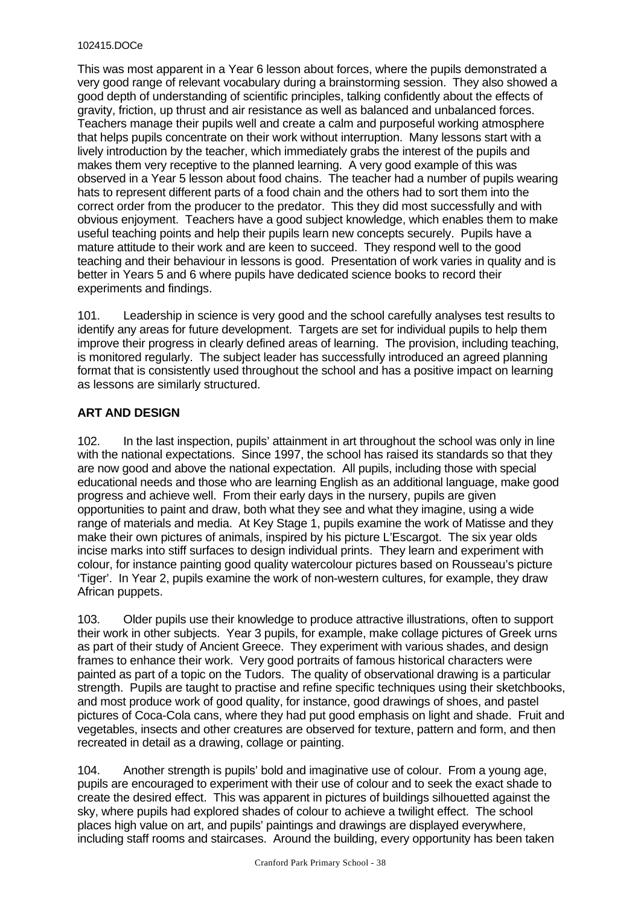This was most apparent in a Year 6 lesson about forces, where the pupils demonstrated a very good range of relevant vocabulary during a brainstorming session. They also showed a good depth of understanding of scientific principles, talking confidently about the effects of gravity, friction, up thrust and air resistance as well as balanced and unbalanced forces. Teachers manage their pupils well and create a calm and purposeful working atmosphere that helps pupils concentrate on their work without interruption. Many lessons start with a lively introduction by the teacher, which immediately grabs the interest of the pupils and makes them very receptive to the planned learning. A very good example of this was observed in a Year 5 lesson about food chains. The teacher had a number of pupils wearing hats to represent different parts of a food chain and the others had to sort them into the correct order from the producer to the predator. This they did most successfully and with obvious enjoyment. Teachers have a good subject knowledge, which enables them to make useful teaching points and help their pupils learn new concepts securely. Pupils have a mature attitude to their work and are keen to succeed. They respond well to the good teaching and their behaviour in lessons is good. Presentation of work varies in quality and is better in Years 5 and 6 where pupils have dedicated science books to record their experiments and findings.

101. Leadership in science is very good and the school carefully analyses test results to identify any areas for future development. Targets are set for individual pupils to help them improve their progress in clearly defined areas of learning. The provision, including teaching, is monitored regularly. The subject leader has successfully introduced an agreed planning format that is consistently used throughout the school and has a positive impact on learning as lessons are similarly structured.

# **ART AND DESIGN**

102. In the last inspection, pupils' attainment in art throughout the school was only in line with the national expectations. Since 1997, the school has raised its standards so that they are now good and above the national expectation. All pupils, including those with special educational needs and those who are learning English as an additional language, make good progress and achieve well. From their early days in the nursery, pupils are given opportunities to paint and draw, both what they see and what they imagine, using a wide range of materials and media. At Key Stage 1, pupils examine the work of Matisse and they make their own pictures of animals, inspired by his picture L'Escargot. The six year olds incise marks into stiff surfaces to design individual prints. They learn and experiment with colour, for instance painting good quality watercolour pictures based on Rousseau's picture 'Tiger'. In Year 2, pupils examine the work of non-western cultures, for example, they draw African puppets.

103. Older pupils use their knowledge to produce attractive illustrations, often to support their work in other subjects. Year 3 pupils, for example, make collage pictures of Greek urns as part of their study of Ancient Greece. They experiment with various shades, and design frames to enhance their work. Very good portraits of famous historical characters were painted as part of a topic on the Tudors. The quality of observational drawing is a particular strength. Pupils are taught to practise and refine specific techniques using their sketchbooks, and most produce work of good quality, for instance, good drawings of shoes, and pastel pictures of Coca-Cola cans, where they had put good emphasis on light and shade. Fruit and vegetables, insects and other creatures are observed for texture, pattern and form, and then recreated in detail as a drawing, collage or painting.

104. Another strength is pupils' bold and imaginative use of colour. From a young age, pupils are encouraged to experiment with their use of colour and to seek the exact shade to create the desired effect. This was apparent in pictures of buildings silhouetted against the sky, where pupils had explored shades of colour to achieve a twilight effect. The school places high value on art, and pupils' paintings and drawings are displayed everywhere, including staff rooms and staircases. Around the building, every opportunity has been taken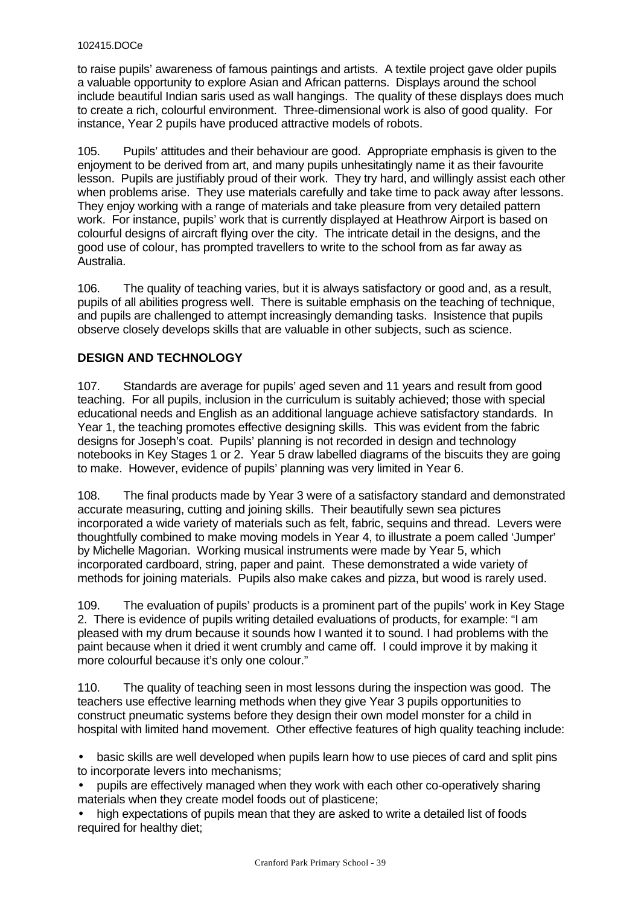to raise pupils' awareness of famous paintings and artists. A textile project gave older pupils a valuable opportunity to explore Asian and African patterns. Displays around the school include beautiful Indian saris used as wall hangings. The quality of these displays does much to create a rich, colourful environment. Three-dimensional work is also of good quality. For instance, Year 2 pupils have produced attractive models of robots.

105. Pupils' attitudes and their behaviour are good. Appropriate emphasis is given to the enjoyment to be derived from art, and many pupils unhesitatingly name it as their favourite lesson. Pupils are justifiably proud of their work. They try hard, and willingly assist each other when problems arise. They use materials carefully and take time to pack away after lessons. They enjoy working with a range of materials and take pleasure from very detailed pattern work. For instance, pupils' work that is currently displayed at Heathrow Airport is based on colourful designs of aircraft flying over the city.The intricate detail in the designs, and the good use of colour, has prompted travellers to write to the school from as far away as Australia.

106. The quality of teaching varies, but it is always satisfactory or good and, as a result, pupils of all abilities progress well. There is suitable emphasis on the teaching of technique, and pupils are challenged to attempt increasingly demanding tasks. Insistence that pupils observe closely develops skills that are valuable in other subjects, such as science.

# **DESIGN AND TECHNOLOGY**

107. Standards are average for pupils' aged seven and 11 years and result from good teaching. For all pupils, inclusion in the curriculum is suitably achieved; those with special educational needs and English as an additional language achieve satisfactory standards. In Year 1, the teaching promotes effective designing skills. This was evident from the fabric designs for Joseph's coat. Pupils' planning is not recorded in design and technology notebooks in Key Stages 1 or 2. Year 5 draw labelled diagrams of the biscuits they are going to make. However, evidence of pupils' planning was very limited in Year 6.

108. The final products made by Year 3 were of a satisfactory standard and demonstrated accurate measuring, cutting and joining skills. Their beautifully sewn sea pictures incorporated a wide variety of materials such as felt, fabric, sequins and thread. Levers were thoughtfully combined to make moving models in Year 4, to illustrate a poem called 'Jumper' by Michelle Magorian. Working musical instruments were made by Year 5, which incorporated cardboard, string, paper and paint. These demonstrated a wide variety of methods for joining materials. Pupils also make cakes and pizza, but wood is rarely used.

109. The evaluation of pupils' products is a prominent part of the pupils' work in Key Stage 2. There is evidence of pupils writing detailed evaluations of products, for example: "I am pleased with my drum because it sounds how I wanted it to sound. I had problems with the paint because when it dried it went crumbly and came off. I could improve it by making it more colourful because it's only one colour."

110. The quality of teaching seen in most lessons during the inspection was good. The teachers use effective learning methods when they give Year 3 pupils opportunities to construct pneumatic systems before they design their own model monster for a child in hospital with limited hand movement. Other effective features of high quality teaching include:

• basic skills are well developed when pupils learn how to use pieces of card and split pins to incorporate levers into mechanisms;

• pupils are effectively managed when they work with each other co-operatively sharing materials when they create model foods out of plasticene;

• high expectations of pupils mean that they are asked to write a detailed list of foods required for healthy diet;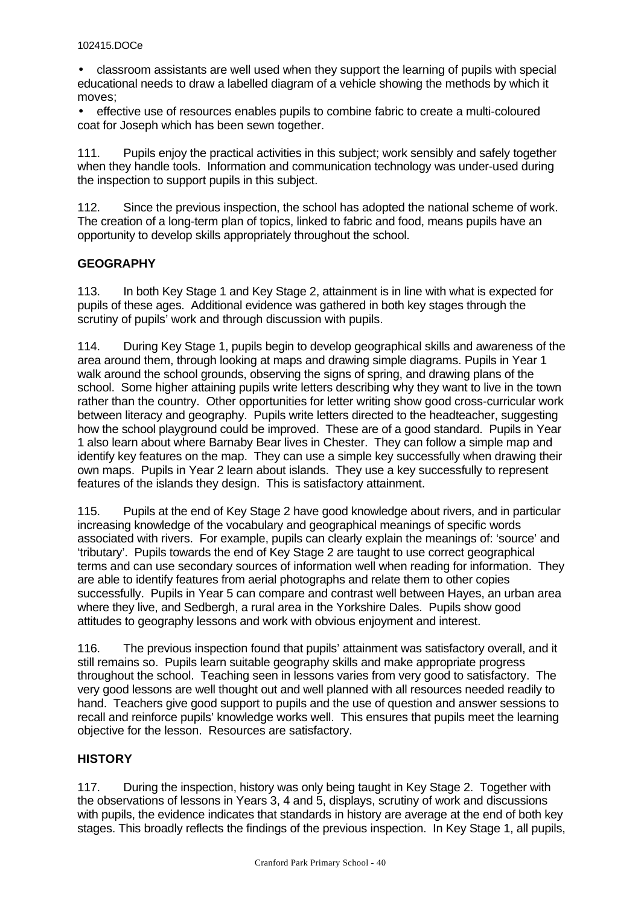• classroom assistants are well used when they support the learning of pupils with special educational needs to draw a labelled diagram of a vehicle showing the methods by which it moves;

• effective use of resources enables pupils to combine fabric to create a multi-coloured coat for Joseph which has been sewn together.

111. Pupils enjoy the practical activities in this subject; work sensibly and safely together when they handle tools. Information and communication technology was under-used during the inspection to support pupils in this subject.

112. Since the previous inspection, the school has adopted the national scheme of work. The creation of a long-term plan of topics, linked to fabric and food, means pupils have an opportunity to develop skills appropriately throughout the school.

# **GEOGRAPHY**

113. In both Key Stage 1 and Key Stage 2, attainment is in line with what is expected for pupils of these ages. Additional evidence was gathered in both key stages through the scrutiny of pupils' work and through discussion with pupils.

114. During Key Stage 1, pupils begin to develop geographical skills and awareness of the area around them, through looking at maps and drawing simple diagrams. Pupils in Year 1 walk around the school grounds, observing the signs of spring, and drawing plans of the school. Some higher attaining pupils write letters describing why they want to live in the town rather than the country. Other opportunities for letter writing show good cross-curricular work between literacy and geography. Pupils write letters directed to the headteacher, suggesting how the school playground could be improved. These are of a good standard. Pupils in Year 1 also learn about where Barnaby Bear lives in Chester. They can follow a simple map and identify key features on the map. They can use a simple key successfully when drawing their own maps. Pupils in Year 2 learn about islands. They use a key successfully to represent features of the islands they design. This is satisfactory attainment.

115. Pupils at the end of Key Stage 2 have good knowledge about rivers, and in particular increasing knowledge of the vocabulary and geographical meanings of specific words associated with rivers. For example, pupils can clearly explain the meanings of: 'source' and 'tributary'. Pupils towards the end of Key Stage 2 are taught to use correct geographical terms and can use secondary sources of information well when reading for information. They are able to identify features from aerial photographs and relate them to other copies successfully. Pupils in Year 5 can compare and contrast well between Hayes, an urban area where they live, and Sedbergh, a rural area in the Yorkshire Dales. Pupils show good attitudes to geography lessons and work with obvious enjoyment and interest.

116. The previous inspection found that pupils' attainment was satisfactory overall, and it still remains so. Pupils learn suitable geography skills and make appropriate progress throughout the school. Teaching seen in lessons varies from very good to satisfactory. The very good lessons are well thought out and well planned with all resources needed readily to hand. Teachers give good support to pupils and the use of question and answer sessions to recall and reinforce pupils' knowledge works well. This ensures that pupils meet the learning objective for the lesson. Resources are satisfactory.

# **HISTORY**

117. During the inspection, history was only being taught in Key Stage 2. Together with the observations of lessons in Years 3, 4 and 5, displays, scrutiny of work and discussions with pupils, the evidence indicates that standards in history are average at the end of both key stages. This broadly reflects the findings of the previous inspection. In Key Stage 1, all pupils,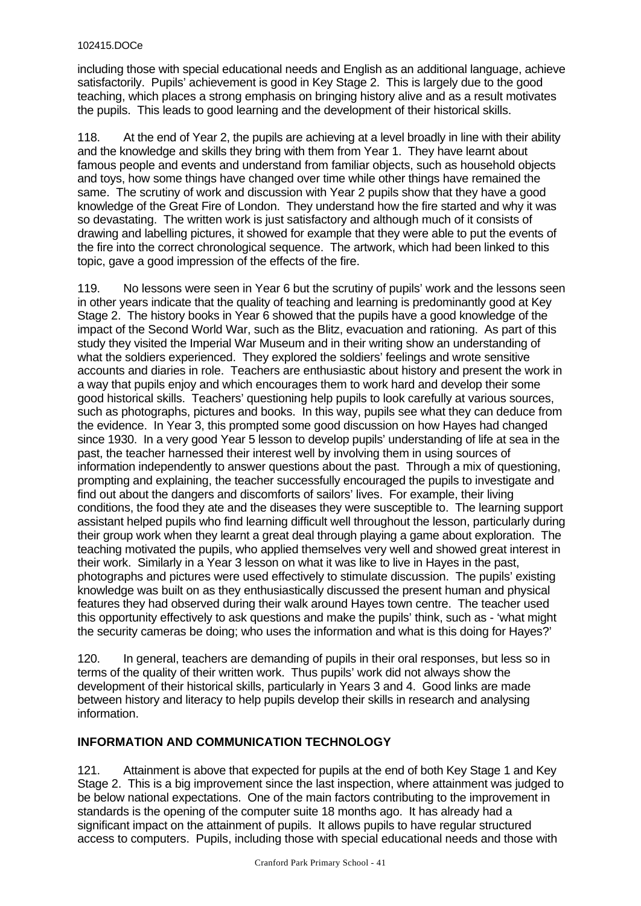including those with special educational needs and English as an additional language, achieve satisfactorily. Pupils' achievement is good in Key Stage 2. This is largely due to the good teaching, which places a strong emphasis on bringing history alive and as a result motivates the pupils. This leads to good learning and the development of their historical skills.

118. At the end of Year 2, the pupils are achieving at a level broadly in line with their ability and the knowledge and skills they bring with them from Year 1. They have learnt about famous people and events and understand from familiar objects, such as household objects and toys, how some things have changed over time while other things have remained the same. The scrutiny of work and discussion with Year 2 pupils show that they have a good knowledge of the Great Fire of London. They understand how the fire started and why it was so devastating. The written work is just satisfactory and although much of it consists of drawing and labelling pictures, it showed for example that they were able to put the events of the fire into the correct chronological sequence. The artwork, which had been linked to this topic, gave a good impression of the effects of the fire.

119. No lessons were seen in Year 6 but the scrutiny of pupils' work and the lessons seen in other years indicate that the quality of teaching and learning is predominantly good at Key Stage 2. The history books in Year 6 showed that the pupils have a good knowledge of the impact of the Second World War, such as the Blitz, evacuation and rationing. As part of this study they visited the Imperial War Museum and in their writing show an understanding of what the soldiers experienced. They explored the soldiers' feelings and wrote sensitive accounts and diaries in role. Teachers are enthusiastic about history and present the work in a way that pupils enjoy and which encourages them to work hard and develop their some good historical skills. Teachers' questioning help pupils to look carefully at various sources, such as photographs, pictures and books. In this way, pupils see what they can deduce from the evidence. In Year 3, this prompted some good discussion on how Hayes had changed since 1930. In a very good Year 5 lesson to develop pupils' understanding of life at sea in the past, the teacher harnessed their interest well by involving them in using sources of information independently to answer questions about the past. Through a mix of questioning, prompting and explaining, the teacher successfully encouraged the pupils to investigate and find out about the dangers and discomforts of sailors' lives. For example, their living conditions, the food they ate and the diseases they were susceptible to. The learning support assistant helped pupils who find learning difficult well throughout the lesson, particularly during their group work when they learnt a great deal through playing a game about exploration. The teaching motivated the pupils, who applied themselves very well and showed great interest in their work. Similarly in a Year 3 lesson on what it was like to live in Hayes in the past, photographs and pictures were used effectively to stimulate discussion. The pupils' existing knowledge was built on as they enthusiastically discussed the present human and physical features they had observed during their walk around Hayes town centre. The teacher used this opportunity effectively to ask questions and make the pupils' think, such as - 'what might the security cameras be doing; who uses the information and what is this doing for Hayes?'

120. In general, teachers are demanding of pupils in their oral responses, but less so in terms of the quality of their written work. Thus pupils' work did not always show the development of their historical skills, particularly in Years 3 and 4. Good links are made between history and literacy to help pupils develop their skills in research and analysing information.

# **INFORMATION AND COMMUNICATION TECHNOLOGY**

121. Attainment is above that expected for pupils at the end of both Key Stage 1 and Key Stage 2. This is a big improvement since the last inspection, where attainment was judged to be below national expectations. One of the main factors contributing to the improvement in standards is the opening of the computer suite 18 months ago. It has already had a significant impact on the attainment of pupils. It allows pupils to have regular structured access to computers. Pupils, including those with special educational needs and those with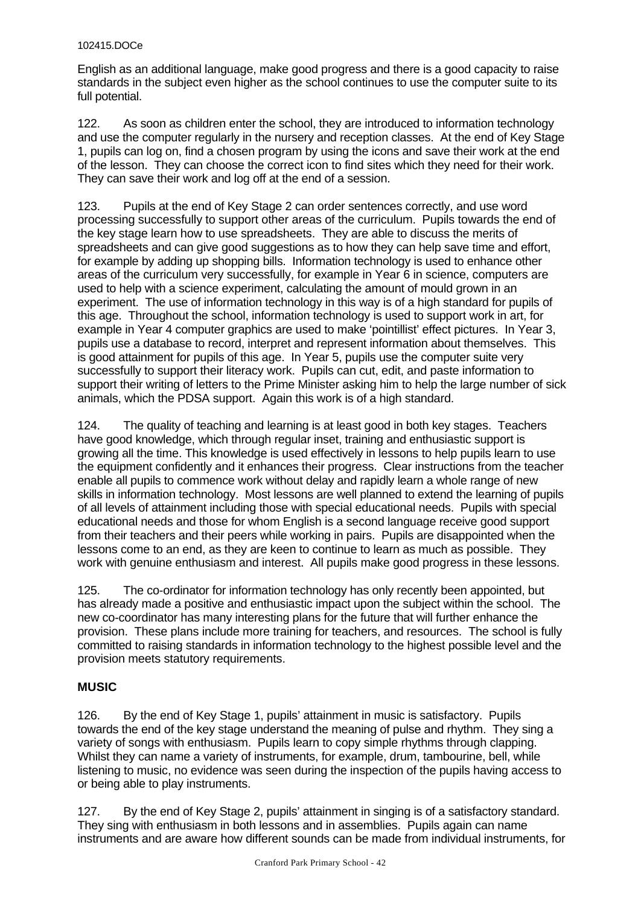English as an additional language, make good progress and there is a good capacity to raise standards in the subject even higher as the school continues to use the computer suite to its full potential.

122. As soon as children enter the school, they are introduced to information technology and use the computer regularly in the nursery and reception classes. At the end of Key Stage 1, pupils can log on, find a chosen program by using the icons and save their work at the end of the lesson. They can choose the correct icon to find sites which they need for their work. They can save their work and log off at the end of a session.

123. Pupils at the end of Key Stage 2 can order sentences correctly, and use word processing successfully to support other areas of the curriculum. Pupils towards the end of the key stage learn how to use spreadsheets. They are able to discuss the merits of spreadsheets and can give good suggestions as to how they can help save time and effort, for example by adding up shopping bills. Information technology is used to enhance other areas of the curriculum very successfully, for example in Year 6 in science, computers are used to help with a science experiment, calculating the amount of mould grown in an experiment. The use of information technology in this way is of a high standard for pupils of this age. Throughout the school, information technology is used to support work in art, for example in Year 4 computer graphics are used to make 'pointillist' effect pictures. In Year 3, pupils use a database to record, interpret and represent information about themselves. This is good attainment for pupils of this age. In Year 5, pupils use the computer suite very successfully to support their literacy work. Pupils can cut, edit, and paste information to support their writing of letters to the Prime Minister asking him to help the large number of sick animals, which the PDSA support. Again this work is of a high standard.

124. The quality of teaching and learning is at least good in both key stages. Teachers have good knowledge, which through regular inset, training and enthusiastic support is growing all the time. This knowledge is used effectively in lessons to help pupils learn to use the equipment confidently and it enhances their progress. Clear instructions from the teacher enable all pupils to commence work without delay and rapidly learn a whole range of new skills in information technology. Most lessons are well planned to extend the learning of pupils of all levels of attainment including those with special educational needs. Pupils with special educational needs and those for whom English is a second language receive good support from their teachers and their peers while working in pairs. Pupils are disappointed when the lessons come to an end, as they are keen to continue to learn as much as possible. They work with genuine enthusiasm and interest. All pupils make good progress in these lessons.

125. The co-ordinator for information technology has only recently been appointed, but has already made a positive and enthusiastic impact upon the subject within the school. The new co-coordinator has many interesting plans for the future that will further enhance the provision. These plans include more training for teachers, and resources. The school is fully committed to raising standards in information technology to the highest possible level and the provision meets statutory requirements.

# **MUSIC**

126. By the end of Key Stage 1, pupils' attainment in music is satisfactory. Pupils towards the end of the key stage understand the meaning of pulse and rhythm. They sing a variety of songs with enthusiasm. Pupils learn to copy simple rhythms through clapping. Whilst they can name a variety of instruments, for example, drum, tambourine, bell, while listening to music, no evidence was seen during the inspection of the pupils having access to or being able to play instruments.

127. By the end of Key Stage 2, pupils' attainment in singing is of a satisfactory standard. They sing with enthusiasm in both lessons and in assemblies. Pupils again can name instruments and are aware how different sounds can be made from individual instruments, for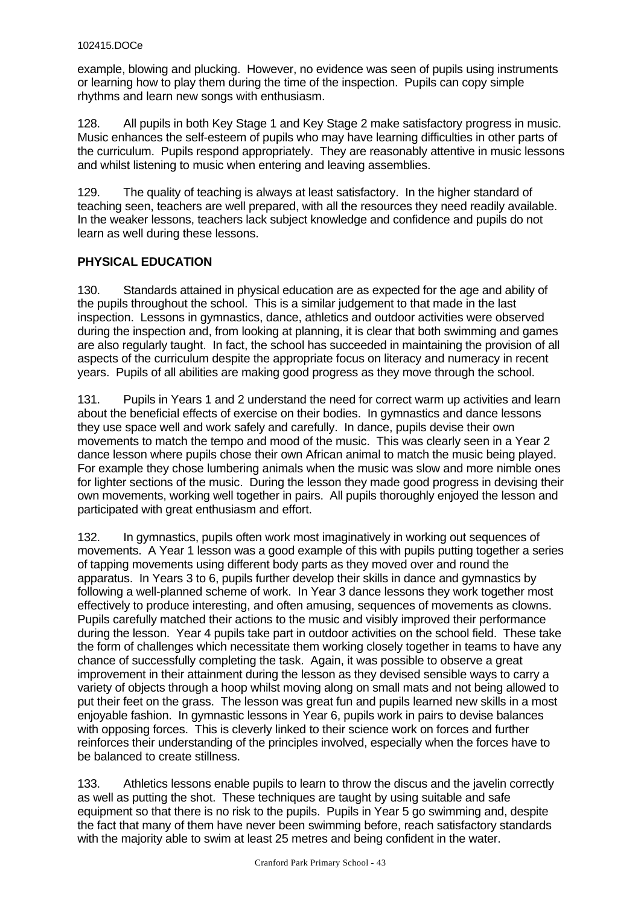example, blowing and plucking. However, no evidence was seen of pupils using instruments or learning how to play them during the time of the inspection. Pupils can copy simple rhythms and learn new songs with enthusiasm.

128. All pupils in both Key Stage 1 and Key Stage 2 make satisfactory progress in music. Music enhances the self-esteem of pupils who may have learning difficulties in other parts of the curriculum. Pupils respond appropriately. They are reasonably attentive in music lessons and whilst listening to music when entering and leaving assemblies.

129. The quality of teaching is always at least satisfactory. In the higher standard of teaching seen, teachers are well prepared, with all the resources they need readily available. In the weaker lessons, teachers lack subject knowledge and confidence and pupils do not learn as well during these lessons.

# **PHYSICAL EDUCATION**

130. Standards attained in physical education are as expected for the age and ability of the pupils throughout the school. This is a similar judgement to that made in the last inspection. Lessons in gymnastics, dance, athletics and outdoor activities were observed during the inspection and, from looking at planning, it is clear that both swimming and games are also regularly taught. In fact, the school has succeeded in maintaining the provision of all aspects of the curriculum despite the appropriate focus on literacy and numeracy in recent years. Pupils of all abilities are making good progress as they move through the school.

131. Pupils in Years 1 and 2 understand the need for correct warm up activities and learn about the beneficial effects of exercise on their bodies. In gymnastics and dance lessons they use space well and work safely and carefully. In dance, pupils devise their own movements to match the tempo and mood of the music. This was clearly seen in a Year 2 dance lesson where pupils chose their own African animal to match the music being played. For example they chose lumbering animals when the music was slow and more nimble ones for lighter sections of the music. During the lesson they made good progress in devising their own movements, working well together in pairs. All pupils thoroughly enjoyed the lesson and participated with great enthusiasm and effort.

132. In gymnastics, pupils often work most imaginatively in working out sequences of movements. A Year 1 lesson was a good example of this with pupils putting together a series of tapping movements using different body parts as they moved over and round the apparatus. In Years 3 to 6, pupils further develop their skills in dance and gymnastics by following a well-planned scheme of work. In Year 3 dance lessons they work together most effectively to produce interesting, and often amusing, sequences of movements as clowns. Pupils carefully matched their actions to the music and visibly improved their performance during the lesson. Year 4 pupils take part in outdoor activities on the school field. These take the form of challenges which necessitate them working closely together in teams to have any chance of successfully completing the task. Again, it was possible to observe a great improvement in their attainment during the lesson as they devised sensible ways to carry a variety of objects through a hoop whilst moving along on small mats and not being allowed to put their feet on the grass. The lesson was great fun and pupils learned new skills in a most enjoyable fashion. In gymnastic lessons in Year 6, pupils work in pairs to devise balances with opposing forces. This is cleverly linked to their science work on forces and further reinforces their understanding of the principles involved, especially when the forces have to be balanced to create stillness.

133. Athletics lessons enable pupils to learn to throw the discus and the javelin correctly as well as putting the shot. These techniques are taught by using suitable and safe equipment so that there is no risk to the pupils. Pupils in Year 5 go swimming and, despite the fact that many of them have never been swimming before, reach satisfactory standards with the majority able to swim at least 25 metres and being confident in the water.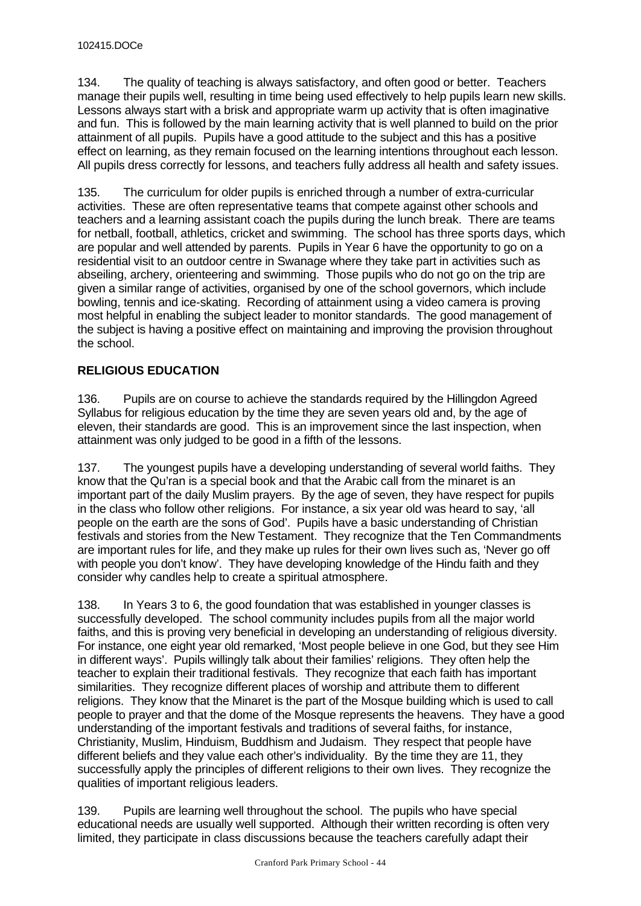134. The quality of teaching is always satisfactory, and often good or better. Teachers manage their pupils well, resulting in time being used effectively to help pupils learn new skills. Lessons always start with a brisk and appropriate warm up activity that is often imaginative and fun. This is followed by the main learning activity that is well planned to build on the prior attainment of all pupils. Pupils have a good attitude to the subject and this has a positive effect on learning, as they remain focused on the learning intentions throughout each lesson. All pupils dress correctly for lessons, and teachers fully address all health and safety issues.

135. The curriculum for older pupils is enriched through a number of extra-curricular activities. These are often representative teams that compete against other schools and teachers and a learning assistant coach the pupils during the lunch break. There are teams for netball, football, athletics, cricket and swimming. The school has three sports days, which are popular and well attended by parents. Pupils in Year 6 have the opportunity to go on a residential visit to an outdoor centre in Swanage where they take part in activities such as abseiling, archery, orienteering and swimming. Those pupils who do not go on the trip are given a similar range of activities, organised by one of the school governors, which include bowling, tennis and ice-skating. Recording of attainment using a video camera is proving most helpful in enabling the subject leader to monitor standards. The good management of the subject is having a positive effect on maintaining and improving the provision throughout the school.

# **RELIGIOUS EDUCATION**

136. Pupils are on course to achieve the standards required by the Hillingdon Agreed Syllabus for religious education by the time they are seven years old and, by the age of eleven, their standards are good. This is an improvement since the last inspection, when attainment was only judged to be good in a fifth of the lessons.

137. The youngest pupils have a developing understanding of several world faiths. They know that the Qu'ran is a special book and that the Arabic call from the minaret is an important part of the daily Muslim prayers. By the age of seven, they have respect for pupils in the class who follow other religions. For instance, a six year old was heard to say, 'all people on the earth are the sons of God'. Pupils have a basic understanding of Christian festivals and stories from the New Testament. They recognize that the Ten Commandments are important rules for life, and they make up rules for their own lives such as, 'Never go off with people you don't know'. They have developing knowledge of the Hindu faith and they consider why candles help to create a spiritual atmosphere.

138. In Years 3 to 6, the good foundation that was established in younger classes is successfully developed. The school community includes pupils from all the major world faiths, and this is proving very beneficial in developing an understanding of religious diversity. For instance, one eight year old remarked, 'Most people believe in one God, but they see Him in different ways'. Pupils willingly talk about their families' religions. They often help the teacher to explain their traditional festivals. They recognize that each faith has important similarities. They recognize different places of worship and attribute them to different religions. They know that the Minaret is the part of the Mosque building which is used to call people to prayer and that the dome of the Mosque represents the heavens. They have a good understanding of the important festivals and traditions of several faiths, for instance, Christianity, Muslim, Hinduism, Buddhism and Judaism. They respect that people have different beliefs and they value each other's individuality. By the time they are 11, they successfully apply the principles of different religions to their own lives. They recognize the qualities of important religious leaders.

139. Pupils are learning well throughout the school. The pupils who have special educational needs are usually well supported. Although their written recording is often very limited, they participate in class discussions because the teachers carefully adapt their